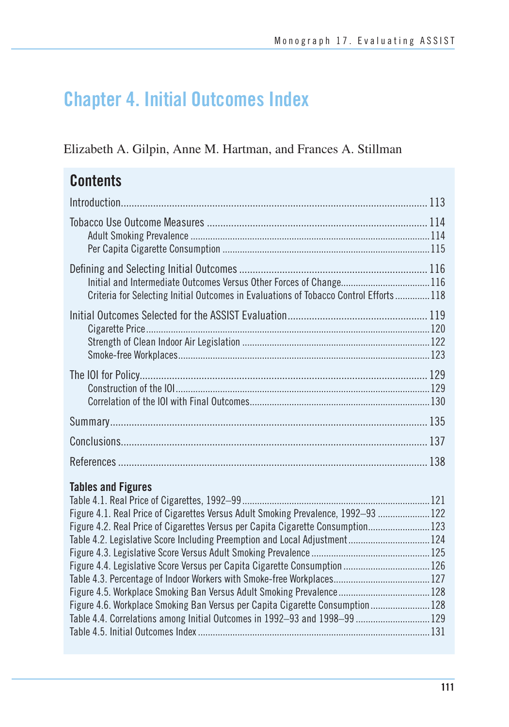# **Chapter 4. Initial Outcomes Index**

Elizabeth A. Gilpin, Anne M. Hartman, and Frances A. Stillman

# **Contents**

| Criteria for Selecting Initial Outcomes in Evaluations of Tobacco Control Efforts 118 |  |
|---------------------------------------------------------------------------------------|--|
|                                                                                       |  |
|                                                                                       |  |
|                                                                                       |  |
|                                                                                       |  |
|                                                                                       |  |

### **Tables and Figures**

| Figure 4.1. Real Price of Cigarettes Versus Adult Smoking Prevalence, 1992–93  122 |  |
|------------------------------------------------------------------------------------|--|
| Figure 4.2. Real Price of Cigarettes Versus per Capita Cigarette Consumption 123   |  |
| Table 4.2. Legislative Score Including Preemption and Local Adjustment 124         |  |
|                                                                                    |  |
| Figure 4.4. Legislative Score Versus per Capita Cigarette Consumption  126         |  |
|                                                                                    |  |
|                                                                                    |  |
| Figure 4.6. Workplace Smoking Ban Versus per Capita Cigarette Consumption 128      |  |
| Table 4.4. Correlations among Initial Outcomes in 1992–93 and 1998–99  129         |  |
|                                                                                    |  |
|                                                                                    |  |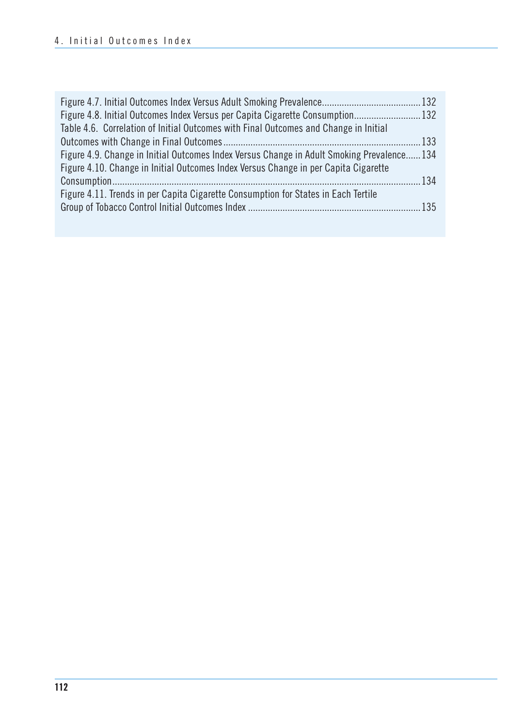| Figure 4.8. Initial Outcomes Index Versus per Capita Cigarette Consumption 132            |  |
|-------------------------------------------------------------------------------------------|--|
| Table 4.6. Correlation of Initial Outcomes with Final Outcomes and Change in Initial      |  |
|                                                                                           |  |
| Figure 4.9. Change in Initial Outcomes Index Versus Change in Adult Smoking Prevalence134 |  |
| Figure 4.10. Change in Initial Outcomes Index Versus Change in per Capita Cigarette       |  |
|                                                                                           |  |
| Figure 4.11. Trends in per Capita Cigarette Consumption for States in Each Tertile        |  |
|                                                                                           |  |
|                                                                                           |  |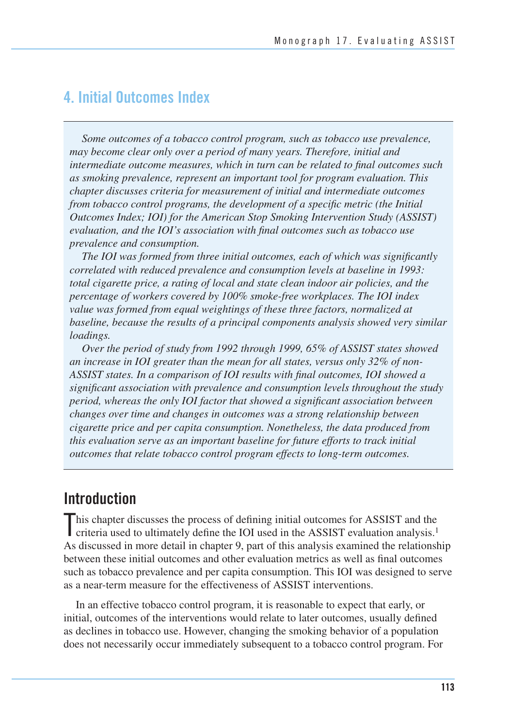### **4. Initial Outcomes Index**

*Some outcomes of a tobacco control program, such as tobacco use prevalence, may become clear only over a period of many years. Therefore, initial and intermediate outcome measures, which in turn can be related to final outcomes such as smoking prevalence, represent an important tool for program evaluation. This chapter discusses criteria for measurement of initial and intermediate outcomes from tobacco control programs, the development of a specific metric (the Initial Outcomes Index; IOI) for the American Stop Smoking Intervention Study (ASSIST) evaluation, and the IOI's association with final outcomes such as tobacco use prevalence and consumption.* 

*The IOI was formed from three initial outcomes, each of which was significantly correlated with reduced prevalence and consumption levels at baseline in 1993: total cigarette price, a rating of local and state clean indoor air policies, and the percentage of workers covered by 100% smoke-free workplaces. The IOI index value was formed from equal weightings of these three factors, normalized at baseline, because the results of a principal components analysis showed very similar loadings.* 

*Over the period of study from 1992 through 1999, 65% of ASSIST states showed an increase in IOI greater than the mean for all states, versus only 32% of non-ASSIST states. In a comparison of IOI results with final outcomes, IOI showed a significant association with prevalence and consumption levels throughout the study period, whereas the only IOI factor that showed a significant association between changes over time and changes in outcomes was a strong relationship between cigarette price and per capita consumption. Nonetheless, the data produced from this evaluation serve as an important baseline for future efforts to track initial outcomes that relate tobacco control program effects to long-term outcomes.* 

### **Introduction**

This chapter discusses the process of defining initial outcomes for ASSIST and the criteria used to ultimately define the IOI used in the ASSIST evaluation analysis.<sup>1</sup> criteria used to ultimately define the IOI used in the ASSIST evaluation analysis.1 As discussed in more detail in chapter 9, part of this analysis examined the relationship between these initial outcomes and other evaluation metrics as well as final outcomes such as tobacco prevalence and per capita consumption. This IOI was designed to serve as a near-term measure for the effectiveness of ASSIST interventions.

In an effective tobacco control program, it is reasonable to expect that early, or initial, outcomes of the interventions would relate to later outcomes, usually defined as declines in tobacco use. However, changing the smoking behavior of a population does not necessarily occur immediately subsequent to a tobacco control program. For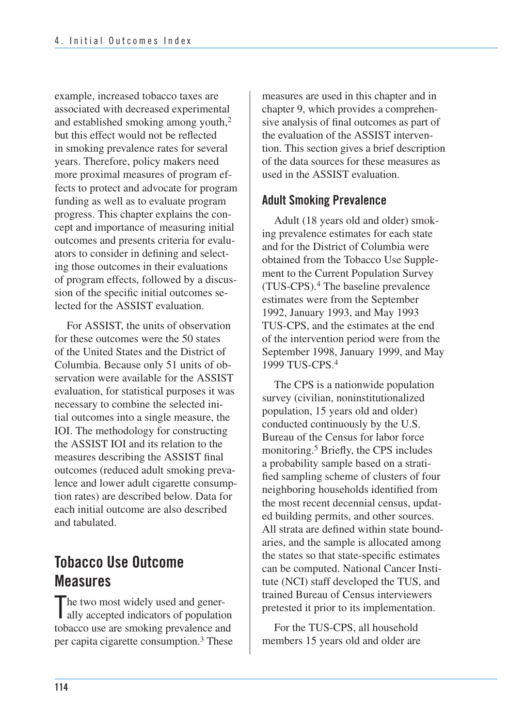example, increased tobacco taxes are associated with decreased experimental and established smoking among youth,2 but this effect would not be reflected in smoking prevalence rates for several years. Therefore, policy makers need more proximal measures of program effects to protect and advocate for program funding as well as to evaluate program progress. This chapter explains the concept and importance of measuring initial outcomes and presents criteria for evaluators to consider in defining and selecting those outcomes in their evaluations of program effects, followed by a discussion of the specific initial outcomes selected for the ASSIST evaluation.

For ASSIST, the units of observation for these outcomes were the 50 states of the United States and the District of Columbia. Because only 51 units of observation were available for the ASSIST evaluation, for statistical purposes it was necessary to combine the selected initial outcomes into a single measure, the IOI. The methodology for constructing the ASSIST IOI and its relation to the measures describing the ASSIST final outcomes (reduced adult smoking prevalence and lower adult cigarette consumption rates) are described below. Data for each initial outcome are also described and tabulated.

## **Tobacco Use Outcome Measures**

The two most widely used and generally accepted indicators of population ally accepted indicators of population tobacco use are smoking prevalence and per capita cigarette consumption.<sup>3</sup> These  measures are used in this chapter and in chapter 9, which provides a comprehen- sive analysis of final outcomes as part of the evaluation of the ASSIST interven- tion. This section gives a brief description of the data sources for these measures as used in the ASSIST evaluation.

### **Adult Smoking Prevalence**

Adult (18 years old and older) smoking prevalence estimates for each state and for the District of Columbia were obtained from the Tobacco Use Supplement to the Current Population Survey (TUS-CPS).4 The baseline prevalence estimates were from the September 1992, January 1993, and May 1993 TUS-CPS, and the estimates at the end of the intervention period were from the September 1998, January 1999, and May 1999 TUS-CPS.4

The CPS is a nationwide population survey (civilian, noninstitutionalized population, 15 years old and older) conducted continuously by the U.S. Bureau of the Census for labor force monitoring.5 Briefly, the CPS includes a probability sample based on a stratified sampling scheme of clusters of four neighboring households identified from the most recent decennial census, updated building permits, and other sources. All strata are defined within state boundaries, and the sample is allocated among the states so that state-specific estimates can be computed. National Cancer Institute (NCI) staff developed the TUS, and trained Bureau of Census interviewers pretested it prior to its implementation.

For the TUS-CPS, all household members 15 years old and older are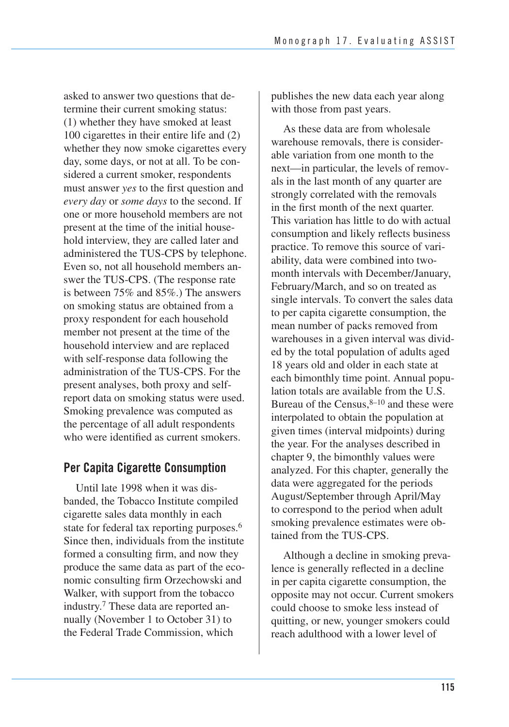asked to answer two questions that determine their current smoking status: (1) whether they have smoked at least 100 cigarettes in their entire life and (2) whether they now smoke cigarettes every day, some days, or not at all. To be considered a current smoker, respondents must answer *yes* to the first question and *every day* or *some days* to the second. If one or more household members are not present at the time of the initial household interview, they are called later and administered the TUS-CPS by telephone. Even so, not all household members answer the TUS-CPS. (The response rate is between 75% and 85%.) The answers on smoking status are obtained from a proxy respondent for each household member not present at the time of the household interview and are replaced with self-response data following the administration of the TUS-CPS. For the present analyses, both proxy and selfreport data on smoking status were used. Smoking prevalence was computed as the percentage of all adult respondents who were identified as current smokers.

### **Per Capita Cigarette Consumption**

Until late 1998 when it was disbanded, the Tobacco Institute compiled cigarette sales data monthly in each state for federal tax reporting purposes.<sup>6</sup> Since then, individuals from the institute formed a consulting firm, and now they produce the same data as part of the economic consulting firm Orzechowski and Walker, with support from the tobacco industry.7 These data are reported annually (November 1 to October 31) to the Federal Trade Commission, which

publishes the new data each year along with those from past years.

As these data are from wholesale warehouse removals, there is considerable variation from one month to the next—in particular, the levels of removals in the last month of any quarter are strongly correlated with the removals in the first month of the next quarter. This variation has little to do with actual consumption and likely reflects business practice. To remove this source of variability, data were combined into twomonth intervals with December/January, February/March, and so on treated as single intervals. To convert the sales data to per capita cigarette consumption, the mean number of packs removed from warehouses in a given interval was divided by the total population of adults aged 18 years old and older in each state at each bimonthly time point. Annual population totals are available from the U.S. Bureau of the Census, $8-10$  and these were interpolated to obtain the population at given times (interval midpoints) during the year. For the analyses described in chapter 9, the bimonthly values were analyzed. For this chapter, generally the data were aggregated for the periods August/September through April/May to correspond to the period when adult smoking prevalence estimates were obtained from the TUS-CPS.

Although a decline in smoking prevalence is generally reflected in a decline in per capita cigarette consumption, the opposite may not occur. Current smokers could choose to smoke less instead of quitting, or new, younger smokers could reach adulthood with a lower level of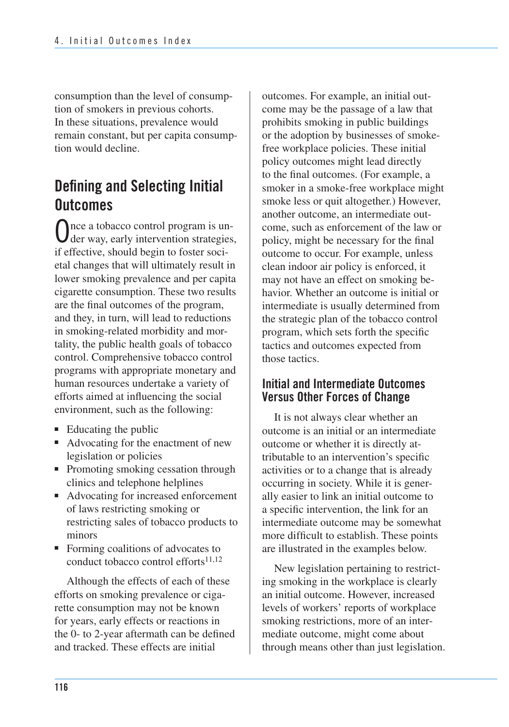consumption than the level of consumption of smokers in previous cohorts. In these situations, prevalence would remain constant, but per capita consumption would decline.

## **Defining and Selecting Initial Outcomes**

Once a tobacco control program is un-der way, early intervention strategies, if effective, should begin to foster societal changes that will ultimately result in lower smoking prevalence and per capita cigarette consumption. These two results are the final outcomes of the program, and they, in turn, will lead to reductions in smoking-related morbidity and mortality, the public health goals of tobacco control. Comprehensive tobacco control programs with appropriate monetary and human resources undertake a variety of efforts aimed at influencing the social environment, such as the following:

- Educating the public
- Advocating for the enactment of new legislation or policies
- Promoting smoking cessation through clinics and telephone helplines
- Advocating for increased enforcement of laws restricting smoking or restricting sales of tobacco products to minors
- Forming coalitions of advocates to conduct tobacco control efforts $11,12$

Although the effects of each of these efforts on smoking prevalence or cigarette consumption may not be known for years, early effects or reactions in the 0- to 2-year aftermath can be defined and tracked. These effects are initial

outcomes. For example, an initial outcome may be the passage of a law that prohibits smoking in public buildings or the adoption by businesses of smokefree workplace policies. These initial policy outcomes might lead directly to the final outcomes. (For example, a smoker in a smoke-free workplace might smoke less or quit altogether.) However, another outcome, an intermediate outcome, such as enforcement of the law or policy, might be necessary for the final outcome to occur. For example, unless clean indoor air policy is enforced, it may not have an effect on smoking behavior. Whether an outcome is initial or intermediate is usually determined from the strategic plan of the tobacco control program, which sets forth the specific tactics and outcomes expected from those tactics.

#### **Initial and Intermediate Outcomes Versus Other Forces of Change**

It is not always clear whether an outcome is an initial or an intermediate outcome or whether it is directly attributable to an intervention's specific activities or to a change that is already occurring in society. While it is generally easier to link an initial outcome to a specific intervention, the link for an intermediate outcome may be somewhat more difficult to establish. These points are illustrated in the examples below.

New legislation pertaining to restricting smoking in the workplace is clearly an initial outcome. However, increased levels of workers' reports of workplace smoking restrictions, more of an intermediate outcome, might come about through means other than just legislation.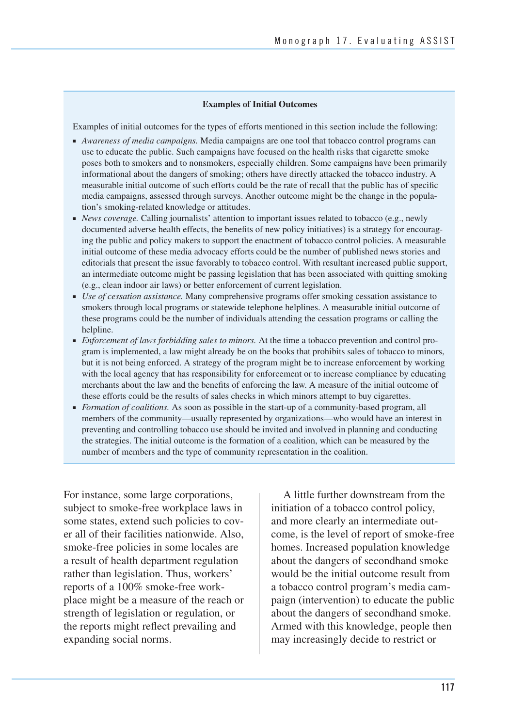#### **Examples of Initial Outcomes**

Examples of initial outcomes for the types of efforts mentioned in this section include the following:

- *Awareness of media campaigns*. Media campaigns are one tool that tobacco control programs can use to educate the public. Such campaigns have focused on the health risks that cigarette smoke poses both to smokers and to nonsmokers, especially children. Some campaigns have been primarily informational about the dangers of smoking; others have directly attacked the tobacco industry. A measurable initial outcome of such efforts could be the rate of recall that the public has of specific media campaigns, assessed through surveys. Another outcome might be the change in the population's smoking-related knowledge or attitudes.
- *News coverage.* Calling journalists' attention to important issues related to tobacco (e.g., newly documented adverse health effects, the benefits of new policy initiatives) is a strategy for encouraging the public and policy makers to support the enactment of tobacco control policies. A measurable initial outcome of these media advocacy efforts could be the number of published news stories and editorials that present the issue favorably to tobacco control. With resultant increased public support, an intermediate outcome might be passing legislation that has been associated with quitting smoking (e.g., clean indoor air laws) or better enforcement of current legislation.
- *Use of cessation assistance*. Many comprehensive programs offer smoking cessation assistance to smokers through local programs or statewide telephone helplines. A measurable initial outcome of these programs could be the number of individuals attending the cessation programs or calling the helpline.
- ■ *Enforcement of laws forbidding sales to minors.* At the time a tobacco prevention and control program is implemented, a law might already be on the books that prohibits sales of tobacco to minors, but it is not being enforced. A strategy of the program might be to increase enforcement by working with the local agency that has responsibility for enforcement or to increase compliance by educating merchants about the law and the benefits of enforcing the law. A measure of the initial outcome of these efforts could be the results of sales checks in which minors attempt to buy cigarettes.
- *Formation of coalitions*. As soon as possible in the start-up of a community-based program, all members of the community—usually represented by organizations—who would have an interest in preventing and controlling tobacco use should be invited and involved in planning and conducting the strategies. The initial outcome is the formation of a coalition, which can be measured by the number of members and the type of community representation in the coalition.

For instance, some large corporations, subject to smoke-free workplace laws in some states, extend such policies to cover all of their facilities nationwide. Also, smoke-free policies in some locales are a result of health department regulation rather than legislation. Thus, workers' reports of a 100% smoke-free workplace might be a measure of the reach or strength of legislation or regulation, or the reports might reflect prevailing and expanding social norms.

A little further downstream from the initiation of a tobacco control policy, and more clearly an intermediate outcome, is the level of report of smoke-free homes. Increased population knowledge about the dangers of secondhand smoke would be the initial outcome result from a tobacco control program's media campaign (intervention) to educate the public about the dangers of secondhand smoke. Armed with this knowledge, people then may increasingly decide to restrict or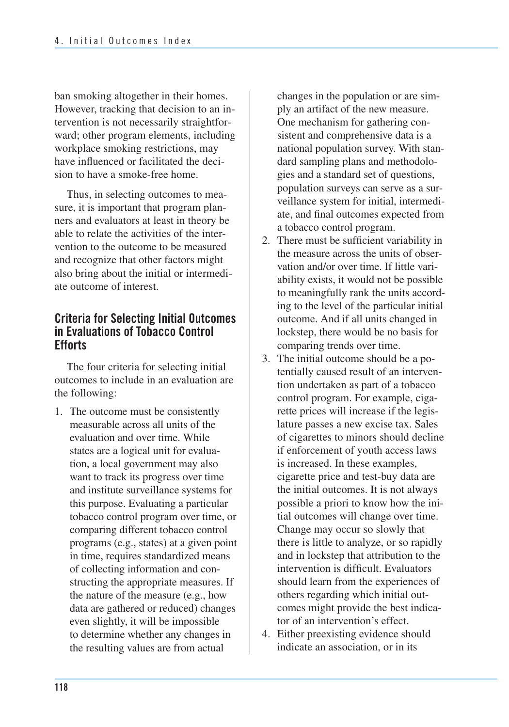ban smoking altogether in their homes. However, tracking that decision to an intervention is not necessarily straightforward; other program elements, including workplace smoking restrictions, may have influenced or facilitated the decision to have a smoke-free home.

Thus, in selecting outcomes to measure, it is important that program planners and evaluators at least in theory be able to relate the activities of the intervention to the outcome to be measured and recognize that other factors might also bring about the initial or intermediate outcome of interest.

#### **Criteria for Selecting Initial Outcomes in Evaluations of Tobacco Control Efforts**

The four criteria for selecting initial outcomes to include in an evaluation are the following:

1. The outcome must be consistently measurable across all units of the evaluation and over time. While states are a logical unit for evalua- tion, a local government may also want to track its progress over time and institute surveillance systems for this purpose. Evaluating a particular tobacco control program over time, or comparing different tobacco control programs (e.g., states) at a given point in time, requires standardized means of collecting information and con- structing the appropriate measures. If the nature of the measure (e.g., how data are gathered or reduced) changes even slightly, it will be impossible to determine whether any changes in the resulting values are from actual

 changes in the population or are sim- ply an artifact of the new measure. One mechanism for gathering con- sistent and comprehensive data is a national population survey. With standard sampling plans and methodolo gies and a standard set of questions, population surveys can serve as a sur- veillance system for initial, intermedi- ate, and final outcomes expected from a tobacco control program.

- 2. There must be sufficient variability in the measure across the units of obser- vation and/or over time. If little vari- ability exists, it would not be possible to meaningfully rank the units accord- ing to the level of the particular initial outcome. And if all units changed in lockstep, there would be no basis for comparing trends over time.
- 3. The initial outcome should be a potentially caused result of an intervention undertaken as part of a tobacco control program. For example, cigarette prices will increase if the legislature passes a new excise tax. Sales of cigarettes to minors should decline if enforcement of youth access laws is increased. In these examples, cigarette price and test-buy data are the initial outcomes. It is not always possible a priori to know how the initial outcomes will change over time. Change may occur so slowly that there is little to analyze, or so rapidly and in lockstep that attribution to the intervention is difficult. Evaluators should learn from the experiences of others regarding which initial outcomes might provide the best indicator of an intervention's effect.
- 4. Either preexisting evidence should indicate an association, or in its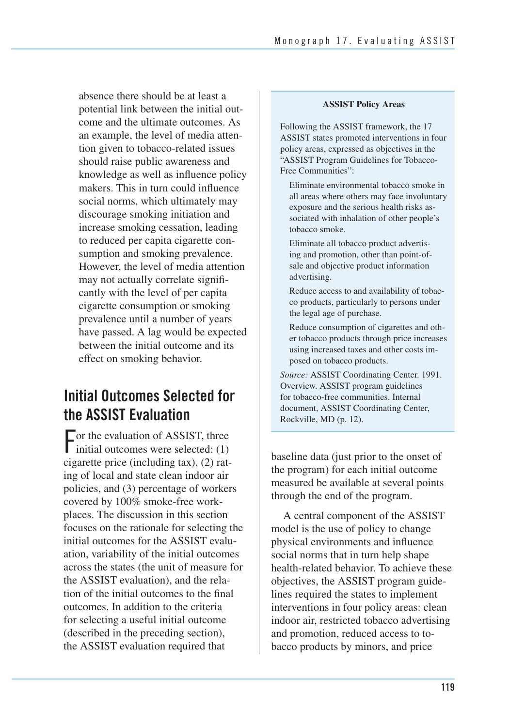absence there should be at least a potential link between the initial outcome and the ultimate outcomes. As an example, the level of media attention given to tobacco-related issues should raise public awareness and knowledge as well as influence policy makers. This in turn could influence social norms, which ultimately may discourage smoking initiation and increase smoking cessation, leading to reduced per capita cigarette consumption and smoking prevalence. However, the level of media attention may not actually correlate significantly with the level of per capita cigarette consumption or smoking prevalence until a number of years have passed. A lag would be expected between the initial outcome and its effect on smoking behavior.

## **Initial Outcomes Selected for the ASSIST Evaluation**

For the evaluation of ASSIST, three<br>initial outcomes were selected: (1)  $\Box$  or the evaluation of ASSIST, three cigarette price (including tax), (2) rating of local and state clean indoor air policies, and (3) percentage of workers covered by 100% smoke-free workplaces. The discussion in this section focuses on the rationale for selecting the initial outcomes for the ASSIST evaluation, variability of the initial outcomes across the states (the unit of measure for the ASSIST evaluation), and the relation of the initial outcomes to the final outcomes. In addition to the criteria for selecting a useful initial outcome (described in the preceding section), the ASSIST evaluation required that

#### **ASSIST Policy Areas**

Following the ASSIST framework, the 17 ASSIST states promoted interventions in four policy areas, expressed as objectives in the "ASSIST Program Guidelines for Tobacco-Free Communities":

Eliminate environmental tobacco smoke in all areas where others may face involuntary exposure and the serious health risks associated with inhalation of other people's tobacco smoke.

Eliminate all tobacco product advertising and promotion, other than point-ofsale and objective product information advertising.

Reduce access to and availability of tobacco products, particularly to persons under the legal age of purchase.

Reduce consumption of cigarettes and other tobacco products through price increases using increased taxes and other costs imposed on tobacco products.

*Source:* ASSIST Coordinating Center. 1991. Overview. ASSIST program guidelines for tobacco-free communities. Internal document, ASSIST Coordinating Center, Rockville, MD (p. 12).

baseline data (just prior to the onset of the program) for each initial outcome measured be available at several points through the end of the program.

A central component of the ASSIST model is the use of policy to change physical environments and influence social norms that in turn help shape health-related behavior. To achieve these objectives, the ASSIST program guidelines required the states to implement interventions in four policy areas: clean indoor air, restricted tobacco advertising and promotion, reduced access to tobacco products by minors, and price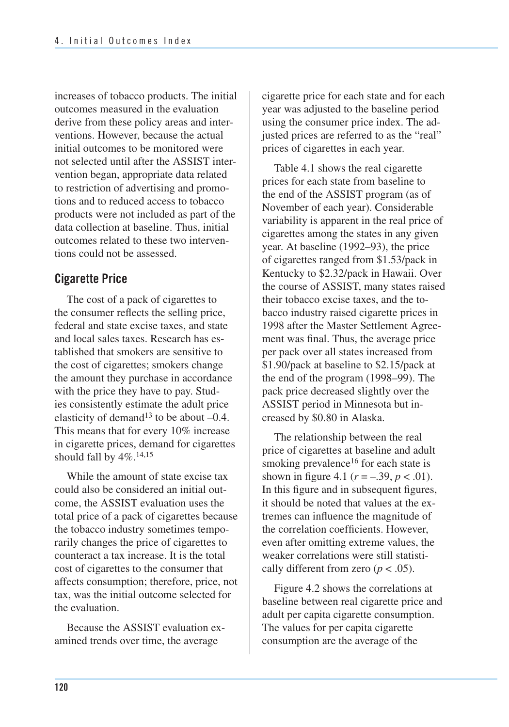increases of tobacco products. The initial outcomes measured in the evaluation derive from these policy areas and interventions. However, because the actual initial outcomes to be monitored were not selected until after the ASSIST intervention began, appropriate data related to restriction of advertising and promotions and to reduced access to tobacco products were not included as part of the data collection at baseline. Thus, initial outcomes related to these two interventions could not be assessed.

### **Cigarette Price**

The cost of a pack of cigarettes to the consumer reflects the selling price, federal and state excise taxes, and state and local sales taxes. Research has established that smokers are sensitive to the cost of cigarettes; smokers change the amount they purchase in accordance with the price they have to pay. Studies consistently estimate the adult price elasticity of demand<sup>13</sup> to be about  $-0.4$ . This means that for every 10% increase in cigarette prices, demand for cigarettes should fall by  $4\%$ .<sup>14,15</sup>

While the amount of state excise tax could also be considered an initial outcome, the ASSIST evaluation uses the total price of a pack of cigarettes because the tobacco industry sometimes temporarily changes the price of cigarettes to counteract a tax increase. It is the total cost of cigarettes to the consumer that affects consumption; therefore, price, not tax, was the initial outcome selected for the evaluation.

Because the ASSIST evaluation examined trends over time, the average

cigarette price for each state and for each year was adjusted to the baseline period using the consumer price index. The adjusted prices are referred to as the "real" prices of cigarettes in each year.

Table 4.1 shows the real cigarette prices for each state from baseline to the end of the ASSIST program (as of November of each year). Considerable variability is apparent in the real price of cigarettes among the states in any given year. At baseline (1992–93), the price of cigarettes ranged from \$1.53/pack in Kentucky to \$2.32/pack in Hawaii. Over the course of ASSIST, many states raised their tobacco excise taxes, and the tobacco industry raised cigarette prices in 1998 after the Master Settlement Agreement was final. Thus, the average price per pack over all states increased from \$1.90/pack at baseline to \$2.15/pack at the end of the program (1998–99). The pack price decreased slightly over the ASSIST period in Minnesota but increased by \$0.80 in Alaska.

The relationship between the real price of cigarettes at baseline and adult smoking prevalence<sup>16</sup> for each state is shown in figure 4.1 ( $r = -.39, p < .01$ ). In this figure and in subsequent figures, it should be noted that values at the extremes can influence the magnitude of the correlation coefficients. However, even after omitting extreme values, the weaker correlations were still statistically different from zero ( $p < .05$ ).

Figure 4.2 shows the correlations at baseline between real cigarette price and adult per capita cigarette consumption. The values for per capita cigarette consumption are the average of the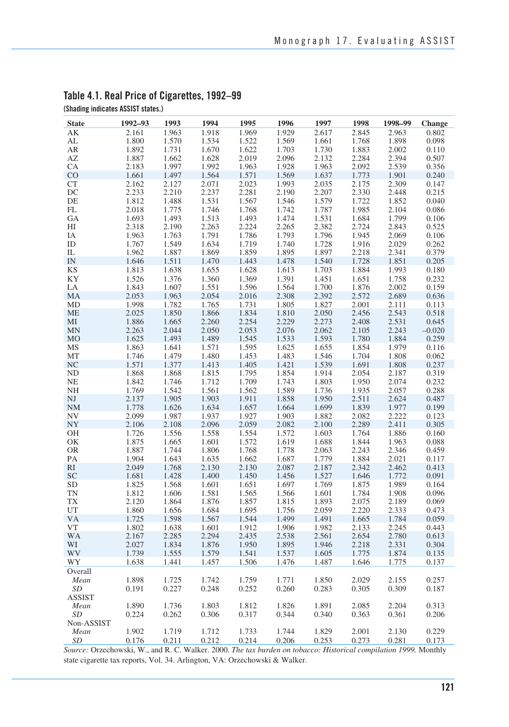| 2.161<br>1.963<br>1.918<br>1.969<br>1.929<br>2.617<br>2.845<br>2.963<br>0.802<br>AK<br>1.800<br>1.570<br>1.534<br>1.522<br>1.569<br>1.898<br>0.098<br>AL<br>1.661<br>1.768<br>1.892<br>1.883<br>AR<br>1.731<br>1.670<br>1.622<br>1.703<br>1.730<br>2.002<br>0.110<br>1.887<br>1.662<br>2.019<br>2.096<br>2.132<br>2.284<br>2.394<br>AZ<br>1.628<br>0.507<br>2.183<br>1.997<br>1.992<br>1.963<br>1.928<br>1.963<br>2.092<br>2.539<br>0.356<br><b>CA</b><br>CO<br>1.661<br>1.497<br>1.564<br>1.571<br>1.569<br>1.637<br>1.773<br>1.901<br>0.240<br><b>CT</b><br>2.023<br>1.993<br>2.309<br>0.147<br>2.162<br>2.127<br>2.071<br>2.035<br>2.175<br>DC<br>2.233<br>2.210<br>2.237<br>2.281<br>2.190<br>2.207<br>2.330<br>2.448<br>0.215<br>1.812<br>1.531<br>1.567<br>1.579<br>DE<br>1.488<br>1.546<br>1.722<br>1.852<br>0.040<br>FL<br>2.018<br>1.746<br>1.768<br>1.742<br>1.787<br>1.985<br>0.086<br>1.775<br>2.104<br>GA<br>1.693<br>1.493<br>1.513<br>1.493<br>1.474<br>1.531<br>1.684<br>1.799<br>0.106<br>2.224<br>2.382<br>2.724<br>HI<br>2.318<br>2.190<br>2.263<br>2.265<br>2.843<br>0.525<br>1.796<br>1.963<br>1.763<br>1.791<br>1.786<br>1.793<br>1.945<br>2.069<br>0.106<br>IΑ<br>1.767<br>1.634<br>1.719<br>1.740<br>1.728<br>2.029<br>0.262<br>ID<br>1.549<br>1.916<br>1.859<br>1.895<br>1.897<br>0.379<br>IL<br>1.962<br>1.887<br>1.869<br>2.218<br>2.341<br>IN<br>1.646<br>1.470<br>1.443<br>1.478<br>1.540<br>1.728<br>1.851<br>0.205<br>1.511<br><b>KS</b><br>1.628<br>1.613<br>1.703<br>1.993<br>1.813<br>1.638<br>1.655<br>1.884<br>0.180<br>KY<br>1.526<br>1.376<br>1.360<br>1.369<br>1.391<br>1.451<br>1.651<br>1.758<br>0.232<br>1.843<br>1.607<br>1.551<br>1.596<br>1.564<br>1.700<br>1.876<br>0.159<br>LA<br>2.002<br>2.053<br>1.963<br>2.054<br>2.016<br>2.308<br>2.392<br>2.572<br>2.689<br>0.636<br>MA<br>1.998<br>1.782<br>1.765<br>1.731<br>1.805<br>1.827<br>MD<br>2.001<br>2.111<br>0.113<br>1.834<br>2.543<br>0.518<br>ME<br>2.025<br>1.850<br>1.866<br>1.810<br>2.050<br>2.456<br>1.886<br>1.665<br>2.260<br>2.254<br>2.229<br>2.273<br>2.408<br>2.531<br>0.645<br>MI<br>2.044<br>2.050<br>2.053<br>2.076<br>2.062<br>2.243<br>$-0.020$<br><b>MN</b><br>2.263<br>2.105<br><b>MO</b><br>1.625<br>1.493<br>1.489<br>1.545<br>1.593<br>1.780<br>1.884<br>0.259<br>1.533<br>MS<br>1.863<br>1.641<br>1.571<br>1.595<br>1.625<br>1.655<br>1.854<br>1.979<br>0.116<br>MT<br>1.746<br>1.479<br>1.480<br>1.453<br>1.483<br>1.546<br>1.808<br>1.704<br>0.062<br>1.571<br>1.421<br>1.539<br>1.691<br>NC<br>1.377<br>1.413<br>1.405<br>1.808<br>0.237<br><b>ND</b><br>1.868<br>1.815<br>1.795<br>1.854<br>1.914<br>2.054<br>0.319<br>1.868<br>2.187<br>NE<br>1.842<br>1.746<br>1.712<br>1.709<br>1.743<br>1.803<br>1.950<br>2.074<br>0.232<br>NH<br>1.769<br>1.561<br>1.562<br>1.589<br>1.736<br>1.935<br>0.288<br>1.542<br>2.057<br>$\mathbf{N}\mathbf{J}$<br>2.137<br>1.905<br>1.903<br>1.911<br>1.858<br>1.950<br>2.511<br>2.624<br>0.487<br>1.657<br>1.839<br>0.199<br><b>NM</b><br>1.778<br>1.626<br>1.634<br>1.664<br>1.699<br>1.977<br><b>NV</b><br>2.099<br>1.927<br>1.882<br>2.222<br>0.123<br>1.987<br>1.937<br>1.903<br>2.082<br>NY<br>2.096<br>2.059<br>2.106<br>2.108<br>2.082<br>2.100<br>2.289<br>2.411<br>0.305<br>1.603<br><b>OH</b><br>1.726<br>1.556<br>1.558<br>1.554<br>1.572<br>1.764<br>1.886<br>0.160<br>OK<br>1.875<br>1.665<br>1.601<br>1.572<br>1.619<br>1.688<br>1.844<br>1.963<br>0.088<br><b>OR</b><br>1.887<br>1.744<br>1.806<br>1.768<br>1.778<br>2.063<br>2.243<br>2.346<br>0.459<br>1.904<br>1.884<br>PA<br>1.643<br>1.635<br>1.662<br>1.687<br>1.779<br>2.021<br>0.117<br>RI<br>2.049<br>1.768<br>2.130<br>2.130<br>2.087<br>2.187<br>2.342<br>2.462<br>0.413<br>SC<br>1.681<br>1.428<br>1.400<br>1.450<br>1.456<br>1.527<br>1.646<br>0.091<br>1.772<br><b>SD</b><br>1.601<br>1.651<br>1.989<br>0.164<br>1.825<br>1.568<br>1.697<br>1.769<br>1.875<br>1.812<br>1.606<br>1.581<br>1.565<br>1.566<br>1.601<br>1.784<br>1.908<br>0.096<br>TN<br>TX<br>2.120<br>1.876<br>1.857<br>1.893<br>2.075<br>1.864<br>1.815<br>2.189<br>0.069<br>1.695<br>UT<br>1.860<br>1.656<br>1.684<br>1.756<br>2.059<br>2.220<br>2.333<br>0.473<br>VA<br>1.598<br>1.544<br>1.499<br>1.491<br>0.059<br>1.725<br>1.567<br>1.665<br>1.784<br><b>VT</b><br>1.802<br>1.638<br>1.601<br>1.912<br>1.906<br>1.982<br>2.245<br>0.443<br>2.133<br>WA<br>2.167<br>2.285<br>2.294<br>2.435<br>2.538<br>2.561<br>2.654<br>2.780<br>0.613<br>2.027<br>1.834<br>1.876<br>1.950<br>1.895<br>1.946<br>2.218<br>2.331<br>0.304<br>WI<br>1.739<br>WV<br>1.555<br>1.579<br>1.541<br>1.537<br>1.605<br>1.775<br>1.874<br>0.135<br>WY<br>1.638<br>1.441<br>1.457<br>1.506<br>1.476<br>1.487<br>1.646<br>1.775<br>0.137<br>Overall<br>1.898<br>1.725<br>1.742<br>1.759<br>1.771<br>1.850<br>2.029<br>2.155<br>0.257<br>Mean<br>0.191<br>0.248<br>0.252<br>0.283<br>0.309<br>SD<br>0.227<br>0.260<br>0.305<br>0.187<br><b>ASSIST</b><br>1.803<br>1.891<br>2.204<br>Mean<br>1.890<br>1.736<br>1.812<br>1.826<br>2.085<br>0.313<br>0.306<br>0.317<br>0.344<br>0.340<br>0.361<br>SD<br>0.224<br>0.262<br>0.363<br>0.206<br>Non-ASSIST<br>1.902<br>1.719<br>1.712<br>1.733<br>1.744<br>1.829<br>2.001<br>2.130<br>0.229<br>Mean<br>SD<br>0.176<br>0.211<br>0.212<br>0.214<br>0.206<br>0.253<br>0.273<br>0.281<br>0.173 | <b>State</b> | 1992-93 | 1993 | 1994 | 1995 | 1996 | 1997 | 1998 | 1998-99 | Change |
|------------------------------------------------------------------------------------------------------------------------------------------------------------------------------------------------------------------------------------------------------------------------------------------------------------------------------------------------------------------------------------------------------------------------------------------------------------------------------------------------------------------------------------------------------------------------------------------------------------------------------------------------------------------------------------------------------------------------------------------------------------------------------------------------------------------------------------------------------------------------------------------------------------------------------------------------------------------------------------------------------------------------------------------------------------------------------------------------------------------------------------------------------------------------------------------------------------------------------------------------------------------------------------------------------------------------------------------------------------------------------------------------------------------------------------------------------------------------------------------------------------------------------------------------------------------------------------------------------------------------------------------------------------------------------------------------------------------------------------------------------------------------------------------------------------------------------------------------------------------------------------------------------------------------------------------------------------------------------------------------------------------------------------------------------------------------------------------------------------------------------------------------------------------------------------------------------------------------------------------------------------------------------------------------------------------------------------------------------------------------------------------------------------------------------------------------------------------------------------------------------------------------------------------------------------------------------------------------------------------------------------------------------------------------------------------------------------------------------------------------------------------------------------------------------------------------------------------------------------------------------------------------------------------------------------------------------------------------------------------------------------------------------------------------------------------------------------------------------------------------------------------------------------------------------------------------------------------------------------------------------------------------------------------------------------------------------------------------------------------------------------------------------------------------------------------------------------------------------------------------------------------------------------------------------------------------------------------------------------------------------------------------------------------------------------------------------------------------------------------------------------------------------------------------------------------------------------------------------------------------------------------------------------------------------------------------------------------------------------------------------------------------------------------------------------------------------------------------------------------------------------------------------------------------------------------------------------------------------------------------------------------------------------------------------------------------------------------------------------------------------------------------------------------------------------------------------------------------------------------------------------------------------------------------------------------------------------------------------------------------------------------------------------------------------------------------------------------------------------------------------------------------------------------------------------------------------------------------------------------------------------------------------------------------------------------------------------------------------------------------------------------------------------------------------------------------------------------------------------------------------------------------------------------------------------------------------------------------------------------------------------------------------------------------------------------------|--------------|---------|------|------|------|------|------|------|---------|--------|
|                                                                                                                                                                                                                                                                                                                                                                                                                                                                                                                                                                                                                                                                                                                                                                                                                                                                                                                                                                                                                                                                                                                                                                                                                                                                                                                                                                                                                                                                                                                                                                                                                                                                                                                                                                                                                                                                                                                                                                                                                                                                                                                                                                                                                                                                                                                                                                                                                                                                                                                                                                                                                                                                                                                                                                                                                                                                                                                                                                                                                                                                                                                                                                                                                                                                                                                                                                                                                                                                                                                                                                                                                                                                                                                                                                                                                                                                                                                                                                                                                                                                                                                                                                                                                                                                                                                                                                                                                                                                                                                                                                                                                                                                                                                                                                                                                                                                                                                                                                                                                                                                                                                                                                                                                                                                                                                        |              |         |      |      |      |      |      |      |         |        |
|                                                                                                                                                                                                                                                                                                                                                                                                                                                                                                                                                                                                                                                                                                                                                                                                                                                                                                                                                                                                                                                                                                                                                                                                                                                                                                                                                                                                                                                                                                                                                                                                                                                                                                                                                                                                                                                                                                                                                                                                                                                                                                                                                                                                                                                                                                                                                                                                                                                                                                                                                                                                                                                                                                                                                                                                                                                                                                                                                                                                                                                                                                                                                                                                                                                                                                                                                                                                                                                                                                                                                                                                                                                                                                                                                                                                                                                                                                                                                                                                                                                                                                                                                                                                                                                                                                                                                                                                                                                                                                                                                                                                                                                                                                                                                                                                                                                                                                                                                                                                                                                                                                                                                                                                                                                                                                                        |              |         |      |      |      |      |      |      |         |        |
|                                                                                                                                                                                                                                                                                                                                                                                                                                                                                                                                                                                                                                                                                                                                                                                                                                                                                                                                                                                                                                                                                                                                                                                                                                                                                                                                                                                                                                                                                                                                                                                                                                                                                                                                                                                                                                                                                                                                                                                                                                                                                                                                                                                                                                                                                                                                                                                                                                                                                                                                                                                                                                                                                                                                                                                                                                                                                                                                                                                                                                                                                                                                                                                                                                                                                                                                                                                                                                                                                                                                                                                                                                                                                                                                                                                                                                                                                                                                                                                                                                                                                                                                                                                                                                                                                                                                                                                                                                                                                                                                                                                                                                                                                                                                                                                                                                                                                                                                                                                                                                                                                                                                                                                                                                                                                                                        |              |         |      |      |      |      |      |      |         |        |
|                                                                                                                                                                                                                                                                                                                                                                                                                                                                                                                                                                                                                                                                                                                                                                                                                                                                                                                                                                                                                                                                                                                                                                                                                                                                                                                                                                                                                                                                                                                                                                                                                                                                                                                                                                                                                                                                                                                                                                                                                                                                                                                                                                                                                                                                                                                                                                                                                                                                                                                                                                                                                                                                                                                                                                                                                                                                                                                                                                                                                                                                                                                                                                                                                                                                                                                                                                                                                                                                                                                                                                                                                                                                                                                                                                                                                                                                                                                                                                                                                                                                                                                                                                                                                                                                                                                                                                                                                                                                                                                                                                                                                                                                                                                                                                                                                                                                                                                                                                                                                                                                                                                                                                                                                                                                                                                        |              |         |      |      |      |      |      |      |         |        |
|                                                                                                                                                                                                                                                                                                                                                                                                                                                                                                                                                                                                                                                                                                                                                                                                                                                                                                                                                                                                                                                                                                                                                                                                                                                                                                                                                                                                                                                                                                                                                                                                                                                                                                                                                                                                                                                                                                                                                                                                                                                                                                                                                                                                                                                                                                                                                                                                                                                                                                                                                                                                                                                                                                                                                                                                                                                                                                                                                                                                                                                                                                                                                                                                                                                                                                                                                                                                                                                                                                                                                                                                                                                                                                                                                                                                                                                                                                                                                                                                                                                                                                                                                                                                                                                                                                                                                                                                                                                                                                                                                                                                                                                                                                                                                                                                                                                                                                                                                                                                                                                                                                                                                                                                                                                                                                                        |              |         |      |      |      |      |      |      |         |        |
|                                                                                                                                                                                                                                                                                                                                                                                                                                                                                                                                                                                                                                                                                                                                                                                                                                                                                                                                                                                                                                                                                                                                                                                                                                                                                                                                                                                                                                                                                                                                                                                                                                                                                                                                                                                                                                                                                                                                                                                                                                                                                                                                                                                                                                                                                                                                                                                                                                                                                                                                                                                                                                                                                                                                                                                                                                                                                                                                                                                                                                                                                                                                                                                                                                                                                                                                                                                                                                                                                                                                                                                                                                                                                                                                                                                                                                                                                                                                                                                                                                                                                                                                                                                                                                                                                                                                                                                                                                                                                                                                                                                                                                                                                                                                                                                                                                                                                                                                                                                                                                                                                                                                                                                                                                                                                                                        |              |         |      |      |      |      |      |      |         |        |
|                                                                                                                                                                                                                                                                                                                                                                                                                                                                                                                                                                                                                                                                                                                                                                                                                                                                                                                                                                                                                                                                                                                                                                                                                                                                                                                                                                                                                                                                                                                                                                                                                                                                                                                                                                                                                                                                                                                                                                                                                                                                                                                                                                                                                                                                                                                                                                                                                                                                                                                                                                                                                                                                                                                                                                                                                                                                                                                                                                                                                                                                                                                                                                                                                                                                                                                                                                                                                                                                                                                                                                                                                                                                                                                                                                                                                                                                                                                                                                                                                                                                                                                                                                                                                                                                                                                                                                                                                                                                                                                                                                                                                                                                                                                                                                                                                                                                                                                                                                                                                                                                                                                                                                                                                                                                                                                        |              |         |      |      |      |      |      |      |         |        |
|                                                                                                                                                                                                                                                                                                                                                                                                                                                                                                                                                                                                                                                                                                                                                                                                                                                                                                                                                                                                                                                                                                                                                                                                                                                                                                                                                                                                                                                                                                                                                                                                                                                                                                                                                                                                                                                                                                                                                                                                                                                                                                                                                                                                                                                                                                                                                                                                                                                                                                                                                                                                                                                                                                                                                                                                                                                                                                                                                                                                                                                                                                                                                                                                                                                                                                                                                                                                                                                                                                                                                                                                                                                                                                                                                                                                                                                                                                                                                                                                                                                                                                                                                                                                                                                                                                                                                                                                                                                                                                                                                                                                                                                                                                                                                                                                                                                                                                                                                                                                                                                                                                                                                                                                                                                                                                                        |              |         |      |      |      |      |      |      |         |        |
|                                                                                                                                                                                                                                                                                                                                                                                                                                                                                                                                                                                                                                                                                                                                                                                                                                                                                                                                                                                                                                                                                                                                                                                                                                                                                                                                                                                                                                                                                                                                                                                                                                                                                                                                                                                                                                                                                                                                                                                                                                                                                                                                                                                                                                                                                                                                                                                                                                                                                                                                                                                                                                                                                                                                                                                                                                                                                                                                                                                                                                                                                                                                                                                                                                                                                                                                                                                                                                                                                                                                                                                                                                                                                                                                                                                                                                                                                                                                                                                                                                                                                                                                                                                                                                                                                                                                                                                                                                                                                                                                                                                                                                                                                                                                                                                                                                                                                                                                                                                                                                                                                                                                                                                                                                                                                                                        |              |         |      |      |      |      |      |      |         |        |
|                                                                                                                                                                                                                                                                                                                                                                                                                                                                                                                                                                                                                                                                                                                                                                                                                                                                                                                                                                                                                                                                                                                                                                                                                                                                                                                                                                                                                                                                                                                                                                                                                                                                                                                                                                                                                                                                                                                                                                                                                                                                                                                                                                                                                                                                                                                                                                                                                                                                                                                                                                                                                                                                                                                                                                                                                                                                                                                                                                                                                                                                                                                                                                                                                                                                                                                                                                                                                                                                                                                                                                                                                                                                                                                                                                                                                                                                                                                                                                                                                                                                                                                                                                                                                                                                                                                                                                                                                                                                                                                                                                                                                                                                                                                                                                                                                                                                                                                                                                                                                                                                                                                                                                                                                                                                                                                        |              |         |      |      |      |      |      |      |         |        |
|                                                                                                                                                                                                                                                                                                                                                                                                                                                                                                                                                                                                                                                                                                                                                                                                                                                                                                                                                                                                                                                                                                                                                                                                                                                                                                                                                                                                                                                                                                                                                                                                                                                                                                                                                                                                                                                                                                                                                                                                                                                                                                                                                                                                                                                                                                                                                                                                                                                                                                                                                                                                                                                                                                                                                                                                                                                                                                                                                                                                                                                                                                                                                                                                                                                                                                                                                                                                                                                                                                                                                                                                                                                                                                                                                                                                                                                                                                                                                                                                                                                                                                                                                                                                                                                                                                                                                                                                                                                                                                                                                                                                                                                                                                                                                                                                                                                                                                                                                                                                                                                                                                                                                                                                                                                                                                                        |              |         |      |      |      |      |      |      |         |        |
|                                                                                                                                                                                                                                                                                                                                                                                                                                                                                                                                                                                                                                                                                                                                                                                                                                                                                                                                                                                                                                                                                                                                                                                                                                                                                                                                                                                                                                                                                                                                                                                                                                                                                                                                                                                                                                                                                                                                                                                                                                                                                                                                                                                                                                                                                                                                                                                                                                                                                                                                                                                                                                                                                                                                                                                                                                                                                                                                                                                                                                                                                                                                                                                                                                                                                                                                                                                                                                                                                                                                                                                                                                                                                                                                                                                                                                                                                                                                                                                                                                                                                                                                                                                                                                                                                                                                                                                                                                                                                                                                                                                                                                                                                                                                                                                                                                                                                                                                                                                                                                                                                                                                                                                                                                                                                                                        |              |         |      |      |      |      |      |      |         |        |
|                                                                                                                                                                                                                                                                                                                                                                                                                                                                                                                                                                                                                                                                                                                                                                                                                                                                                                                                                                                                                                                                                                                                                                                                                                                                                                                                                                                                                                                                                                                                                                                                                                                                                                                                                                                                                                                                                                                                                                                                                                                                                                                                                                                                                                                                                                                                                                                                                                                                                                                                                                                                                                                                                                                                                                                                                                                                                                                                                                                                                                                                                                                                                                                                                                                                                                                                                                                                                                                                                                                                                                                                                                                                                                                                                                                                                                                                                                                                                                                                                                                                                                                                                                                                                                                                                                                                                                                                                                                                                                                                                                                                                                                                                                                                                                                                                                                                                                                                                                                                                                                                                                                                                                                                                                                                                                                        |              |         |      |      |      |      |      |      |         |        |
|                                                                                                                                                                                                                                                                                                                                                                                                                                                                                                                                                                                                                                                                                                                                                                                                                                                                                                                                                                                                                                                                                                                                                                                                                                                                                                                                                                                                                                                                                                                                                                                                                                                                                                                                                                                                                                                                                                                                                                                                                                                                                                                                                                                                                                                                                                                                                                                                                                                                                                                                                                                                                                                                                                                                                                                                                                                                                                                                                                                                                                                                                                                                                                                                                                                                                                                                                                                                                                                                                                                                                                                                                                                                                                                                                                                                                                                                                                                                                                                                                                                                                                                                                                                                                                                                                                                                                                                                                                                                                                                                                                                                                                                                                                                                                                                                                                                                                                                                                                                                                                                                                                                                                                                                                                                                                                                        |              |         |      |      |      |      |      |      |         |        |
|                                                                                                                                                                                                                                                                                                                                                                                                                                                                                                                                                                                                                                                                                                                                                                                                                                                                                                                                                                                                                                                                                                                                                                                                                                                                                                                                                                                                                                                                                                                                                                                                                                                                                                                                                                                                                                                                                                                                                                                                                                                                                                                                                                                                                                                                                                                                                                                                                                                                                                                                                                                                                                                                                                                                                                                                                                                                                                                                                                                                                                                                                                                                                                                                                                                                                                                                                                                                                                                                                                                                                                                                                                                                                                                                                                                                                                                                                                                                                                                                                                                                                                                                                                                                                                                                                                                                                                                                                                                                                                                                                                                                                                                                                                                                                                                                                                                                                                                                                                                                                                                                                                                                                                                                                                                                                                                        |              |         |      |      |      |      |      |      |         |        |
|                                                                                                                                                                                                                                                                                                                                                                                                                                                                                                                                                                                                                                                                                                                                                                                                                                                                                                                                                                                                                                                                                                                                                                                                                                                                                                                                                                                                                                                                                                                                                                                                                                                                                                                                                                                                                                                                                                                                                                                                                                                                                                                                                                                                                                                                                                                                                                                                                                                                                                                                                                                                                                                                                                                                                                                                                                                                                                                                                                                                                                                                                                                                                                                                                                                                                                                                                                                                                                                                                                                                                                                                                                                                                                                                                                                                                                                                                                                                                                                                                                                                                                                                                                                                                                                                                                                                                                                                                                                                                                                                                                                                                                                                                                                                                                                                                                                                                                                                                                                                                                                                                                                                                                                                                                                                                                                        |              |         |      |      |      |      |      |      |         |        |
|                                                                                                                                                                                                                                                                                                                                                                                                                                                                                                                                                                                                                                                                                                                                                                                                                                                                                                                                                                                                                                                                                                                                                                                                                                                                                                                                                                                                                                                                                                                                                                                                                                                                                                                                                                                                                                                                                                                                                                                                                                                                                                                                                                                                                                                                                                                                                                                                                                                                                                                                                                                                                                                                                                                                                                                                                                                                                                                                                                                                                                                                                                                                                                                                                                                                                                                                                                                                                                                                                                                                                                                                                                                                                                                                                                                                                                                                                                                                                                                                                                                                                                                                                                                                                                                                                                                                                                                                                                                                                                                                                                                                                                                                                                                                                                                                                                                                                                                                                                                                                                                                                                                                                                                                                                                                                                                        |              |         |      |      |      |      |      |      |         |        |
|                                                                                                                                                                                                                                                                                                                                                                                                                                                                                                                                                                                                                                                                                                                                                                                                                                                                                                                                                                                                                                                                                                                                                                                                                                                                                                                                                                                                                                                                                                                                                                                                                                                                                                                                                                                                                                                                                                                                                                                                                                                                                                                                                                                                                                                                                                                                                                                                                                                                                                                                                                                                                                                                                                                                                                                                                                                                                                                                                                                                                                                                                                                                                                                                                                                                                                                                                                                                                                                                                                                                                                                                                                                                                                                                                                                                                                                                                                                                                                                                                                                                                                                                                                                                                                                                                                                                                                                                                                                                                                                                                                                                                                                                                                                                                                                                                                                                                                                                                                                                                                                                                                                                                                                                                                                                                                                        |              |         |      |      |      |      |      |      |         |        |
|                                                                                                                                                                                                                                                                                                                                                                                                                                                                                                                                                                                                                                                                                                                                                                                                                                                                                                                                                                                                                                                                                                                                                                                                                                                                                                                                                                                                                                                                                                                                                                                                                                                                                                                                                                                                                                                                                                                                                                                                                                                                                                                                                                                                                                                                                                                                                                                                                                                                                                                                                                                                                                                                                                                                                                                                                                                                                                                                                                                                                                                                                                                                                                                                                                                                                                                                                                                                                                                                                                                                                                                                                                                                                                                                                                                                                                                                                                                                                                                                                                                                                                                                                                                                                                                                                                                                                                                                                                                                                                                                                                                                                                                                                                                                                                                                                                                                                                                                                                                                                                                                                                                                                                                                                                                                                                                        |              |         |      |      |      |      |      |      |         |        |
|                                                                                                                                                                                                                                                                                                                                                                                                                                                                                                                                                                                                                                                                                                                                                                                                                                                                                                                                                                                                                                                                                                                                                                                                                                                                                                                                                                                                                                                                                                                                                                                                                                                                                                                                                                                                                                                                                                                                                                                                                                                                                                                                                                                                                                                                                                                                                                                                                                                                                                                                                                                                                                                                                                                                                                                                                                                                                                                                                                                                                                                                                                                                                                                                                                                                                                                                                                                                                                                                                                                                                                                                                                                                                                                                                                                                                                                                                                                                                                                                                                                                                                                                                                                                                                                                                                                                                                                                                                                                                                                                                                                                                                                                                                                                                                                                                                                                                                                                                                                                                                                                                                                                                                                                                                                                                                                        |              |         |      |      |      |      |      |      |         |        |
|                                                                                                                                                                                                                                                                                                                                                                                                                                                                                                                                                                                                                                                                                                                                                                                                                                                                                                                                                                                                                                                                                                                                                                                                                                                                                                                                                                                                                                                                                                                                                                                                                                                                                                                                                                                                                                                                                                                                                                                                                                                                                                                                                                                                                                                                                                                                                                                                                                                                                                                                                                                                                                                                                                                                                                                                                                                                                                                                                                                                                                                                                                                                                                                                                                                                                                                                                                                                                                                                                                                                                                                                                                                                                                                                                                                                                                                                                                                                                                                                                                                                                                                                                                                                                                                                                                                                                                                                                                                                                                                                                                                                                                                                                                                                                                                                                                                                                                                                                                                                                                                                                                                                                                                                                                                                                                                        |              |         |      |      |      |      |      |      |         |        |
|                                                                                                                                                                                                                                                                                                                                                                                                                                                                                                                                                                                                                                                                                                                                                                                                                                                                                                                                                                                                                                                                                                                                                                                                                                                                                                                                                                                                                                                                                                                                                                                                                                                                                                                                                                                                                                                                                                                                                                                                                                                                                                                                                                                                                                                                                                                                                                                                                                                                                                                                                                                                                                                                                                                                                                                                                                                                                                                                                                                                                                                                                                                                                                                                                                                                                                                                                                                                                                                                                                                                                                                                                                                                                                                                                                                                                                                                                                                                                                                                                                                                                                                                                                                                                                                                                                                                                                                                                                                                                                                                                                                                                                                                                                                                                                                                                                                                                                                                                                                                                                                                                                                                                                                                                                                                                                                        |              |         |      |      |      |      |      |      |         |        |
|                                                                                                                                                                                                                                                                                                                                                                                                                                                                                                                                                                                                                                                                                                                                                                                                                                                                                                                                                                                                                                                                                                                                                                                                                                                                                                                                                                                                                                                                                                                                                                                                                                                                                                                                                                                                                                                                                                                                                                                                                                                                                                                                                                                                                                                                                                                                                                                                                                                                                                                                                                                                                                                                                                                                                                                                                                                                                                                                                                                                                                                                                                                                                                                                                                                                                                                                                                                                                                                                                                                                                                                                                                                                                                                                                                                                                                                                                                                                                                                                                                                                                                                                                                                                                                                                                                                                                                                                                                                                                                                                                                                                                                                                                                                                                                                                                                                                                                                                                                                                                                                                                                                                                                                                                                                                                                                        |              |         |      |      |      |      |      |      |         |        |
|                                                                                                                                                                                                                                                                                                                                                                                                                                                                                                                                                                                                                                                                                                                                                                                                                                                                                                                                                                                                                                                                                                                                                                                                                                                                                                                                                                                                                                                                                                                                                                                                                                                                                                                                                                                                                                                                                                                                                                                                                                                                                                                                                                                                                                                                                                                                                                                                                                                                                                                                                                                                                                                                                                                                                                                                                                                                                                                                                                                                                                                                                                                                                                                                                                                                                                                                                                                                                                                                                                                                                                                                                                                                                                                                                                                                                                                                                                                                                                                                                                                                                                                                                                                                                                                                                                                                                                                                                                                                                                                                                                                                                                                                                                                                                                                                                                                                                                                                                                                                                                                                                                                                                                                                                                                                                                                        |              |         |      |      |      |      |      |      |         |        |
|                                                                                                                                                                                                                                                                                                                                                                                                                                                                                                                                                                                                                                                                                                                                                                                                                                                                                                                                                                                                                                                                                                                                                                                                                                                                                                                                                                                                                                                                                                                                                                                                                                                                                                                                                                                                                                                                                                                                                                                                                                                                                                                                                                                                                                                                                                                                                                                                                                                                                                                                                                                                                                                                                                                                                                                                                                                                                                                                                                                                                                                                                                                                                                                                                                                                                                                                                                                                                                                                                                                                                                                                                                                                                                                                                                                                                                                                                                                                                                                                                                                                                                                                                                                                                                                                                                                                                                                                                                                                                                                                                                                                                                                                                                                                                                                                                                                                                                                                                                                                                                                                                                                                                                                                                                                                                                                        |              |         |      |      |      |      |      |      |         |        |
|                                                                                                                                                                                                                                                                                                                                                                                                                                                                                                                                                                                                                                                                                                                                                                                                                                                                                                                                                                                                                                                                                                                                                                                                                                                                                                                                                                                                                                                                                                                                                                                                                                                                                                                                                                                                                                                                                                                                                                                                                                                                                                                                                                                                                                                                                                                                                                                                                                                                                                                                                                                                                                                                                                                                                                                                                                                                                                                                                                                                                                                                                                                                                                                                                                                                                                                                                                                                                                                                                                                                                                                                                                                                                                                                                                                                                                                                                                                                                                                                                                                                                                                                                                                                                                                                                                                                                                                                                                                                                                                                                                                                                                                                                                                                                                                                                                                                                                                                                                                                                                                                                                                                                                                                                                                                                                                        |              |         |      |      |      |      |      |      |         |        |
|                                                                                                                                                                                                                                                                                                                                                                                                                                                                                                                                                                                                                                                                                                                                                                                                                                                                                                                                                                                                                                                                                                                                                                                                                                                                                                                                                                                                                                                                                                                                                                                                                                                                                                                                                                                                                                                                                                                                                                                                                                                                                                                                                                                                                                                                                                                                                                                                                                                                                                                                                                                                                                                                                                                                                                                                                                                                                                                                                                                                                                                                                                                                                                                                                                                                                                                                                                                                                                                                                                                                                                                                                                                                                                                                                                                                                                                                                                                                                                                                                                                                                                                                                                                                                                                                                                                                                                                                                                                                                                                                                                                                                                                                                                                                                                                                                                                                                                                                                                                                                                                                                                                                                                                                                                                                                                                        |              |         |      |      |      |      |      |      |         |        |
|                                                                                                                                                                                                                                                                                                                                                                                                                                                                                                                                                                                                                                                                                                                                                                                                                                                                                                                                                                                                                                                                                                                                                                                                                                                                                                                                                                                                                                                                                                                                                                                                                                                                                                                                                                                                                                                                                                                                                                                                                                                                                                                                                                                                                                                                                                                                                                                                                                                                                                                                                                                                                                                                                                                                                                                                                                                                                                                                                                                                                                                                                                                                                                                                                                                                                                                                                                                                                                                                                                                                                                                                                                                                                                                                                                                                                                                                                                                                                                                                                                                                                                                                                                                                                                                                                                                                                                                                                                                                                                                                                                                                                                                                                                                                                                                                                                                                                                                                                                                                                                                                                                                                                                                                                                                                                                                        |              |         |      |      |      |      |      |      |         |        |
|                                                                                                                                                                                                                                                                                                                                                                                                                                                                                                                                                                                                                                                                                                                                                                                                                                                                                                                                                                                                                                                                                                                                                                                                                                                                                                                                                                                                                                                                                                                                                                                                                                                                                                                                                                                                                                                                                                                                                                                                                                                                                                                                                                                                                                                                                                                                                                                                                                                                                                                                                                                                                                                                                                                                                                                                                                                                                                                                                                                                                                                                                                                                                                                                                                                                                                                                                                                                                                                                                                                                                                                                                                                                                                                                                                                                                                                                                                                                                                                                                                                                                                                                                                                                                                                                                                                                                                                                                                                                                                                                                                                                                                                                                                                                                                                                                                                                                                                                                                                                                                                                                                                                                                                                                                                                                                                        |              |         |      |      |      |      |      |      |         |        |
|                                                                                                                                                                                                                                                                                                                                                                                                                                                                                                                                                                                                                                                                                                                                                                                                                                                                                                                                                                                                                                                                                                                                                                                                                                                                                                                                                                                                                                                                                                                                                                                                                                                                                                                                                                                                                                                                                                                                                                                                                                                                                                                                                                                                                                                                                                                                                                                                                                                                                                                                                                                                                                                                                                                                                                                                                                                                                                                                                                                                                                                                                                                                                                                                                                                                                                                                                                                                                                                                                                                                                                                                                                                                                                                                                                                                                                                                                                                                                                                                                                                                                                                                                                                                                                                                                                                                                                                                                                                                                                                                                                                                                                                                                                                                                                                                                                                                                                                                                                                                                                                                                                                                                                                                                                                                                                                        |              |         |      |      |      |      |      |      |         |        |
|                                                                                                                                                                                                                                                                                                                                                                                                                                                                                                                                                                                                                                                                                                                                                                                                                                                                                                                                                                                                                                                                                                                                                                                                                                                                                                                                                                                                                                                                                                                                                                                                                                                                                                                                                                                                                                                                                                                                                                                                                                                                                                                                                                                                                                                                                                                                                                                                                                                                                                                                                                                                                                                                                                                                                                                                                                                                                                                                                                                                                                                                                                                                                                                                                                                                                                                                                                                                                                                                                                                                                                                                                                                                                                                                                                                                                                                                                                                                                                                                                                                                                                                                                                                                                                                                                                                                                                                                                                                                                                                                                                                                                                                                                                                                                                                                                                                                                                                                                                                                                                                                                                                                                                                                                                                                                                                        |              |         |      |      |      |      |      |      |         |        |
|                                                                                                                                                                                                                                                                                                                                                                                                                                                                                                                                                                                                                                                                                                                                                                                                                                                                                                                                                                                                                                                                                                                                                                                                                                                                                                                                                                                                                                                                                                                                                                                                                                                                                                                                                                                                                                                                                                                                                                                                                                                                                                                                                                                                                                                                                                                                                                                                                                                                                                                                                                                                                                                                                                                                                                                                                                                                                                                                                                                                                                                                                                                                                                                                                                                                                                                                                                                                                                                                                                                                                                                                                                                                                                                                                                                                                                                                                                                                                                                                                                                                                                                                                                                                                                                                                                                                                                                                                                                                                                                                                                                                                                                                                                                                                                                                                                                                                                                                                                                                                                                                                                                                                                                                                                                                                                                        |              |         |      |      |      |      |      |      |         |        |
|                                                                                                                                                                                                                                                                                                                                                                                                                                                                                                                                                                                                                                                                                                                                                                                                                                                                                                                                                                                                                                                                                                                                                                                                                                                                                                                                                                                                                                                                                                                                                                                                                                                                                                                                                                                                                                                                                                                                                                                                                                                                                                                                                                                                                                                                                                                                                                                                                                                                                                                                                                                                                                                                                                                                                                                                                                                                                                                                                                                                                                                                                                                                                                                                                                                                                                                                                                                                                                                                                                                                                                                                                                                                                                                                                                                                                                                                                                                                                                                                                                                                                                                                                                                                                                                                                                                                                                                                                                                                                                                                                                                                                                                                                                                                                                                                                                                                                                                                                                                                                                                                                                                                                                                                                                                                                                                        |              |         |      |      |      |      |      |      |         |        |
|                                                                                                                                                                                                                                                                                                                                                                                                                                                                                                                                                                                                                                                                                                                                                                                                                                                                                                                                                                                                                                                                                                                                                                                                                                                                                                                                                                                                                                                                                                                                                                                                                                                                                                                                                                                                                                                                                                                                                                                                                                                                                                                                                                                                                                                                                                                                                                                                                                                                                                                                                                                                                                                                                                                                                                                                                                                                                                                                                                                                                                                                                                                                                                                                                                                                                                                                                                                                                                                                                                                                                                                                                                                                                                                                                                                                                                                                                                                                                                                                                                                                                                                                                                                                                                                                                                                                                                                                                                                                                                                                                                                                                                                                                                                                                                                                                                                                                                                                                                                                                                                                                                                                                                                                                                                                                                                        |              |         |      |      |      |      |      |      |         |        |
|                                                                                                                                                                                                                                                                                                                                                                                                                                                                                                                                                                                                                                                                                                                                                                                                                                                                                                                                                                                                                                                                                                                                                                                                                                                                                                                                                                                                                                                                                                                                                                                                                                                                                                                                                                                                                                                                                                                                                                                                                                                                                                                                                                                                                                                                                                                                                                                                                                                                                                                                                                                                                                                                                                                                                                                                                                                                                                                                                                                                                                                                                                                                                                                                                                                                                                                                                                                                                                                                                                                                                                                                                                                                                                                                                                                                                                                                                                                                                                                                                                                                                                                                                                                                                                                                                                                                                                                                                                                                                                                                                                                                                                                                                                                                                                                                                                                                                                                                                                                                                                                                                                                                                                                                                                                                                                                        |              |         |      |      |      |      |      |      |         |        |
|                                                                                                                                                                                                                                                                                                                                                                                                                                                                                                                                                                                                                                                                                                                                                                                                                                                                                                                                                                                                                                                                                                                                                                                                                                                                                                                                                                                                                                                                                                                                                                                                                                                                                                                                                                                                                                                                                                                                                                                                                                                                                                                                                                                                                                                                                                                                                                                                                                                                                                                                                                                                                                                                                                                                                                                                                                                                                                                                                                                                                                                                                                                                                                                                                                                                                                                                                                                                                                                                                                                                                                                                                                                                                                                                                                                                                                                                                                                                                                                                                                                                                                                                                                                                                                                                                                                                                                                                                                                                                                                                                                                                                                                                                                                                                                                                                                                                                                                                                                                                                                                                                                                                                                                                                                                                                                                        |              |         |      |      |      |      |      |      |         |        |
|                                                                                                                                                                                                                                                                                                                                                                                                                                                                                                                                                                                                                                                                                                                                                                                                                                                                                                                                                                                                                                                                                                                                                                                                                                                                                                                                                                                                                                                                                                                                                                                                                                                                                                                                                                                                                                                                                                                                                                                                                                                                                                                                                                                                                                                                                                                                                                                                                                                                                                                                                                                                                                                                                                                                                                                                                                                                                                                                                                                                                                                                                                                                                                                                                                                                                                                                                                                                                                                                                                                                                                                                                                                                                                                                                                                                                                                                                                                                                                                                                                                                                                                                                                                                                                                                                                                                                                                                                                                                                                                                                                                                                                                                                                                                                                                                                                                                                                                                                                                                                                                                                                                                                                                                                                                                                                                        |              |         |      |      |      |      |      |      |         |        |
|                                                                                                                                                                                                                                                                                                                                                                                                                                                                                                                                                                                                                                                                                                                                                                                                                                                                                                                                                                                                                                                                                                                                                                                                                                                                                                                                                                                                                                                                                                                                                                                                                                                                                                                                                                                                                                                                                                                                                                                                                                                                                                                                                                                                                                                                                                                                                                                                                                                                                                                                                                                                                                                                                                                                                                                                                                                                                                                                                                                                                                                                                                                                                                                                                                                                                                                                                                                                                                                                                                                                                                                                                                                                                                                                                                                                                                                                                                                                                                                                                                                                                                                                                                                                                                                                                                                                                                                                                                                                                                                                                                                                                                                                                                                                                                                                                                                                                                                                                                                                                                                                                                                                                                                                                                                                                                                        |              |         |      |      |      |      |      |      |         |        |
|                                                                                                                                                                                                                                                                                                                                                                                                                                                                                                                                                                                                                                                                                                                                                                                                                                                                                                                                                                                                                                                                                                                                                                                                                                                                                                                                                                                                                                                                                                                                                                                                                                                                                                                                                                                                                                                                                                                                                                                                                                                                                                                                                                                                                                                                                                                                                                                                                                                                                                                                                                                                                                                                                                                                                                                                                                                                                                                                                                                                                                                                                                                                                                                                                                                                                                                                                                                                                                                                                                                                                                                                                                                                                                                                                                                                                                                                                                                                                                                                                                                                                                                                                                                                                                                                                                                                                                                                                                                                                                                                                                                                                                                                                                                                                                                                                                                                                                                                                                                                                                                                                                                                                                                                                                                                                                                        |              |         |      |      |      |      |      |      |         |        |
|                                                                                                                                                                                                                                                                                                                                                                                                                                                                                                                                                                                                                                                                                                                                                                                                                                                                                                                                                                                                                                                                                                                                                                                                                                                                                                                                                                                                                                                                                                                                                                                                                                                                                                                                                                                                                                                                                                                                                                                                                                                                                                                                                                                                                                                                                                                                                                                                                                                                                                                                                                                                                                                                                                                                                                                                                                                                                                                                                                                                                                                                                                                                                                                                                                                                                                                                                                                                                                                                                                                                                                                                                                                                                                                                                                                                                                                                                                                                                                                                                                                                                                                                                                                                                                                                                                                                                                                                                                                                                                                                                                                                                                                                                                                                                                                                                                                                                                                                                                                                                                                                                                                                                                                                                                                                                                                        |              |         |      |      |      |      |      |      |         |        |
|                                                                                                                                                                                                                                                                                                                                                                                                                                                                                                                                                                                                                                                                                                                                                                                                                                                                                                                                                                                                                                                                                                                                                                                                                                                                                                                                                                                                                                                                                                                                                                                                                                                                                                                                                                                                                                                                                                                                                                                                                                                                                                                                                                                                                                                                                                                                                                                                                                                                                                                                                                                                                                                                                                                                                                                                                                                                                                                                                                                                                                                                                                                                                                                                                                                                                                                                                                                                                                                                                                                                                                                                                                                                                                                                                                                                                                                                                                                                                                                                                                                                                                                                                                                                                                                                                                                                                                                                                                                                                                                                                                                                                                                                                                                                                                                                                                                                                                                                                                                                                                                                                                                                                                                                                                                                                                                        |              |         |      |      |      |      |      |      |         |        |
|                                                                                                                                                                                                                                                                                                                                                                                                                                                                                                                                                                                                                                                                                                                                                                                                                                                                                                                                                                                                                                                                                                                                                                                                                                                                                                                                                                                                                                                                                                                                                                                                                                                                                                                                                                                                                                                                                                                                                                                                                                                                                                                                                                                                                                                                                                                                                                                                                                                                                                                                                                                                                                                                                                                                                                                                                                                                                                                                                                                                                                                                                                                                                                                                                                                                                                                                                                                                                                                                                                                                                                                                                                                                                                                                                                                                                                                                                                                                                                                                                                                                                                                                                                                                                                                                                                                                                                                                                                                                                                                                                                                                                                                                                                                                                                                                                                                                                                                                                                                                                                                                                                                                                                                                                                                                                                                        |              |         |      |      |      |      |      |      |         |        |
|                                                                                                                                                                                                                                                                                                                                                                                                                                                                                                                                                                                                                                                                                                                                                                                                                                                                                                                                                                                                                                                                                                                                                                                                                                                                                                                                                                                                                                                                                                                                                                                                                                                                                                                                                                                                                                                                                                                                                                                                                                                                                                                                                                                                                                                                                                                                                                                                                                                                                                                                                                                                                                                                                                                                                                                                                                                                                                                                                                                                                                                                                                                                                                                                                                                                                                                                                                                                                                                                                                                                                                                                                                                                                                                                                                                                                                                                                                                                                                                                                                                                                                                                                                                                                                                                                                                                                                                                                                                                                                                                                                                                                                                                                                                                                                                                                                                                                                                                                                                                                                                                                                                                                                                                                                                                                                                        |              |         |      |      |      |      |      |      |         |        |
|                                                                                                                                                                                                                                                                                                                                                                                                                                                                                                                                                                                                                                                                                                                                                                                                                                                                                                                                                                                                                                                                                                                                                                                                                                                                                                                                                                                                                                                                                                                                                                                                                                                                                                                                                                                                                                                                                                                                                                                                                                                                                                                                                                                                                                                                                                                                                                                                                                                                                                                                                                                                                                                                                                                                                                                                                                                                                                                                                                                                                                                                                                                                                                                                                                                                                                                                                                                                                                                                                                                                                                                                                                                                                                                                                                                                                                                                                                                                                                                                                                                                                                                                                                                                                                                                                                                                                                                                                                                                                                                                                                                                                                                                                                                                                                                                                                                                                                                                                                                                                                                                                                                                                                                                                                                                                                                        |              |         |      |      |      |      |      |      |         |        |
|                                                                                                                                                                                                                                                                                                                                                                                                                                                                                                                                                                                                                                                                                                                                                                                                                                                                                                                                                                                                                                                                                                                                                                                                                                                                                                                                                                                                                                                                                                                                                                                                                                                                                                                                                                                                                                                                                                                                                                                                                                                                                                                                                                                                                                                                                                                                                                                                                                                                                                                                                                                                                                                                                                                                                                                                                                                                                                                                                                                                                                                                                                                                                                                                                                                                                                                                                                                                                                                                                                                                                                                                                                                                                                                                                                                                                                                                                                                                                                                                                                                                                                                                                                                                                                                                                                                                                                                                                                                                                                                                                                                                                                                                                                                                                                                                                                                                                                                                                                                                                                                                                                                                                                                                                                                                                                                        |              |         |      |      |      |      |      |      |         |        |
|                                                                                                                                                                                                                                                                                                                                                                                                                                                                                                                                                                                                                                                                                                                                                                                                                                                                                                                                                                                                                                                                                                                                                                                                                                                                                                                                                                                                                                                                                                                                                                                                                                                                                                                                                                                                                                                                                                                                                                                                                                                                                                                                                                                                                                                                                                                                                                                                                                                                                                                                                                                                                                                                                                                                                                                                                                                                                                                                                                                                                                                                                                                                                                                                                                                                                                                                                                                                                                                                                                                                                                                                                                                                                                                                                                                                                                                                                                                                                                                                                                                                                                                                                                                                                                                                                                                                                                                                                                                                                                                                                                                                                                                                                                                                                                                                                                                                                                                                                                                                                                                                                                                                                                                                                                                                                                                        |              |         |      |      |      |      |      |      |         |        |
|                                                                                                                                                                                                                                                                                                                                                                                                                                                                                                                                                                                                                                                                                                                                                                                                                                                                                                                                                                                                                                                                                                                                                                                                                                                                                                                                                                                                                                                                                                                                                                                                                                                                                                                                                                                                                                                                                                                                                                                                                                                                                                                                                                                                                                                                                                                                                                                                                                                                                                                                                                                                                                                                                                                                                                                                                                                                                                                                                                                                                                                                                                                                                                                                                                                                                                                                                                                                                                                                                                                                                                                                                                                                                                                                                                                                                                                                                                                                                                                                                                                                                                                                                                                                                                                                                                                                                                                                                                                                                                                                                                                                                                                                                                                                                                                                                                                                                                                                                                                                                                                                                                                                                                                                                                                                                                                        |              |         |      |      |      |      |      |      |         |        |
|                                                                                                                                                                                                                                                                                                                                                                                                                                                                                                                                                                                                                                                                                                                                                                                                                                                                                                                                                                                                                                                                                                                                                                                                                                                                                                                                                                                                                                                                                                                                                                                                                                                                                                                                                                                                                                                                                                                                                                                                                                                                                                                                                                                                                                                                                                                                                                                                                                                                                                                                                                                                                                                                                                                                                                                                                                                                                                                                                                                                                                                                                                                                                                                                                                                                                                                                                                                                                                                                                                                                                                                                                                                                                                                                                                                                                                                                                                                                                                                                                                                                                                                                                                                                                                                                                                                                                                                                                                                                                                                                                                                                                                                                                                                                                                                                                                                                                                                                                                                                                                                                                                                                                                                                                                                                                                                        |              |         |      |      |      |      |      |      |         |        |
|                                                                                                                                                                                                                                                                                                                                                                                                                                                                                                                                                                                                                                                                                                                                                                                                                                                                                                                                                                                                                                                                                                                                                                                                                                                                                                                                                                                                                                                                                                                                                                                                                                                                                                                                                                                                                                                                                                                                                                                                                                                                                                                                                                                                                                                                                                                                                                                                                                                                                                                                                                                                                                                                                                                                                                                                                                                                                                                                                                                                                                                                                                                                                                                                                                                                                                                                                                                                                                                                                                                                                                                                                                                                                                                                                                                                                                                                                                                                                                                                                                                                                                                                                                                                                                                                                                                                                                                                                                                                                                                                                                                                                                                                                                                                                                                                                                                                                                                                                                                                                                                                                                                                                                                                                                                                                                                        |              |         |      |      |      |      |      |      |         |        |
|                                                                                                                                                                                                                                                                                                                                                                                                                                                                                                                                                                                                                                                                                                                                                                                                                                                                                                                                                                                                                                                                                                                                                                                                                                                                                                                                                                                                                                                                                                                                                                                                                                                                                                                                                                                                                                                                                                                                                                                                                                                                                                                                                                                                                                                                                                                                                                                                                                                                                                                                                                                                                                                                                                                                                                                                                                                                                                                                                                                                                                                                                                                                                                                                                                                                                                                                                                                                                                                                                                                                                                                                                                                                                                                                                                                                                                                                                                                                                                                                                                                                                                                                                                                                                                                                                                                                                                                                                                                                                                                                                                                                                                                                                                                                                                                                                                                                                                                                                                                                                                                                                                                                                                                                                                                                                                                        |              |         |      |      |      |      |      |      |         |        |
|                                                                                                                                                                                                                                                                                                                                                                                                                                                                                                                                                                                                                                                                                                                                                                                                                                                                                                                                                                                                                                                                                                                                                                                                                                                                                                                                                                                                                                                                                                                                                                                                                                                                                                                                                                                                                                                                                                                                                                                                                                                                                                                                                                                                                                                                                                                                                                                                                                                                                                                                                                                                                                                                                                                                                                                                                                                                                                                                                                                                                                                                                                                                                                                                                                                                                                                                                                                                                                                                                                                                                                                                                                                                                                                                                                                                                                                                                                                                                                                                                                                                                                                                                                                                                                                                                                                                                                                                                                                                                                                                                                                                                                                                                                                                                                                                                                                                                                                                                                                                                                                                                                                                                                                                                                                                                                                        |              |         |      |      |      |      |      |      |         |        |
|                                                                                                                                                                                                                                                                                                                                                                                                                                                                                                                                                                                                                                                                                                                                                                                                                                                                                                                                                                                                                                                                                                                                                                                                                                                                                                                                                                                                                                                                                                                                                                                                                                                                                                                                                                                                                                                                                                                                                                                                                                                                                                                                                                                                                                                                                                                                                                                                                                                                                                                                                                                                                                                                                                                                                                                                                                                                                                                                                                                                                                                                                                                                                                                                                                                                                                                                                                                                                                                                                                                                                                                                                                                                                                                                                                                                                                                                                                                                                                                                                                                                                                                                                                                                                                                                                                                                                                                                                                                                                                                                                                                                                                                                                                                                                                                                                                                                                                                                                                                                                                                                                                                                                                                                                                                                                                                        |              |         |      |      |      |      |      |      |         |        |
|                                                                                                                                                                                                                                                                                                                                                                                                                                                                                                                                                                                                                                                                                                                                                                                                                                                                                                                                                                                                                                                                                                                                                                                                                                                                                                                                                                                                                                                                                                                                                                                                                                                                                                                                                                                                                                                                                                                                                                                                                                                                                                                                                                                                                                                                                                                                                                                                                                                                                                                                                                                                                                                                                                                                                                                                                                                                                                                                                                                                                                                                                                                                                                                                                                                                                                                                                                                                                                                                                                                                                                                                                                                                                                                                                                                                                                                                                                                                                                                                                                                                                                                                                                                                                                                                                                                                                                                                                                                                                                                                                                                                                                                                                                                                                                                                                                                                                                                                                                                                                                                                                                                                                                                                                                                                                                                        |              |         |      |      |      |      |      |      |         |        |
|                                                                                                                                                                                                                                                                                                                                                                                                                                                                                                                                                                                                                                                                                                                                                                                                                                                                                                                                                                                                                                                                                                                                                                                                                                                                                                                                                                                                                                                                                                                                                                                                                                                                                                                                                                                                                                                                                                                                                                                                                                                                                                                                                                                                                                                                                                                                                                                                                                                                                                                                                                                                                                                                                                                                                                                                                                                                                                                                                                                                                                                                                                                                                                                                                                                                                                                                                                                                                                                                                                                                                                                                                                                                                                                                                                                                                                                                                                                                                                                                                                                                                                                                                                                                                                                                                                                                                                                                                                                                                                                                                                                                                                                                                                                                                                                                                                                                                                                                                                                                                                                                                                                                                                                                                                                                                                                        |              |         |      |      |      |      |      |      |         |        |
|                                                                                                                                                                                                                                                                                                                                                                                                                                                                                                                                                                                                                                                                                                                                                                                                                                                                                                                                                                                                                                                                                                                                                                                                                                                                                                                                                                                                                                                                                                                                                                                                                                                                                                                                                                                                                                                                                                                                                                                                                                                                                                                                                                                                                                                                                                                                                                                                                                                                                                                                                                                                                                                                                                                                                                                                                                                                                                                                                                                                                                                                                                                                                                                                                                                                                                                                                                                                                                                                                                                                                                                                                                                                                                                                                                                                                                                                                                                                                                                                                                                                                                                                                                                                                                                                                                                                                                                                                                                                                                                                                                                                                                                                                                                                                                                                                                                                                                                                                                                                                                                                                                                                                                                                                                                                                                                        |              |         |      |      |      |      |      |      |         |        |
|                                                                                                                                                                                                                                                                                                                                                                                                                                                                                                                                                                                                                                                                                                                                                                                                                                                                                                                                                                                                                                                                                                                                                                                                                                                                                                                                                                                                                                                                                                                                                                                                                                                                                                                                                                                                                                                                                                                                                                                                                                                                                                                                                                                                                                                                                                                                                                                                                                                                                                                                                                                                                                                                                                                                                                                                                                                                                                                                                                                                                                                                                                                                                                                                                                                                                                                                                                                                                                                                                                                                                                                                                                                                                                                                                                                                                                                                                                                                                                                                                                                                                                                                                                                                                                                                                                                                                                                                                                                                                                                                                                                                                                                                                                                                                                                                                                                                                                                                                                                                                                                                                                                                                                                                                                                                                                                        |              |         |      |      |      |      |      |      |         |        |
| ID.<br>$C$ $W_0$ $H_{\text{max}}$<br>2000Tt<br>$\overline{I}$<br>$1000$ Monthly                                                                                                                                                                                                                                                                                                                                                                                                                                                                                                                                                                                                                                                                                                                                                                                                                                                                                                                                                                                                                                                                                                                                                                                                                                                                                                                                                                                                                                                                                                                                                                                                                                                                                                                                                                                                                                                                                                                                                                                                                                                                                                                                                                                                                                                                                                                                                                                                                                                                                                                                                                                                                                                                                                                                                                                                                                                                                                                                                                                                                                                                                                                                                                                                                                                                                                                                                                                                                                                                                                                                                                                                                                                                                                                                                                                                                                                                                                                                                                                                                                                                                                                                                                                                                                                                                                                                                                                                                                                                                                                                                                                                                                                                                                                                                                                                                                                                                                                                                                                                                                                                                                                                                                                                                                        |              | 1.2 W   |      |      |      |      |      |      |         |        |

### **Table 4.1. Real Price of Cigarettes, 1992–99**

**(Shading indicates ASSIST states.)** 

*Source:* Orzechowski, W., and R. C. Walker. 2000. *The tax burden on tobacco: Historical compilation 1999.* Monthly state cigarette tax reports, Vol. 34. Arlington, VA: Orzechowski & Walker.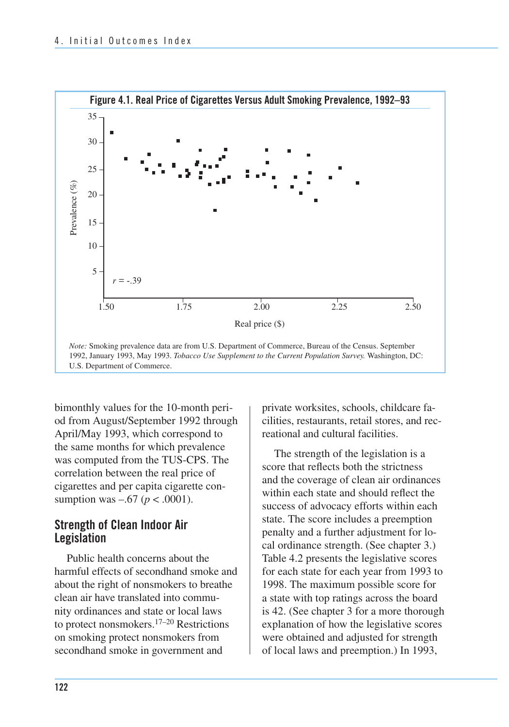

bimonthly values for the 10-month period from August/September 1992 through April/May 1993, which correspond to the same months for which prevalence was computed from the TUS-CPS. The correlation between the real price of cigarettes and per capita cigarette consumption was –.67 (*p* < .0001).

#### **Strength of Clean Indoor Air Legislation**

 Public health concerns about the harmful effects of secondhand smoke and about the right of nonsmokers to breathe clean air have translated into commu- nity ordinances and state or local laws to protect nonsmokers.17–20 Restrictions on smoking protect nonsmokers from secondhand smoke in government and

 private worksites, schools, childcare fa- cilities, restaurants, retail stores, and rec-reational and cultural facilities.

The strength of the legislation is a score that reflects both the strictness and the coverage of clean air ordinances within each state and should reflect the success of advocacy efforts within each state. The score includes a preemption penalty and a further adjustment for local ordinance strength. (See chapter 3.) Table 4.2 presents the legislative scores for each state for each year from 1993 to 1998. The maximum possible score for a state with top ratings across the board is 42. (See chapter 3 for a more thorough explanation of how the legislative scores were obtained and adjusted for strength of local laws and preemption.) In 1993,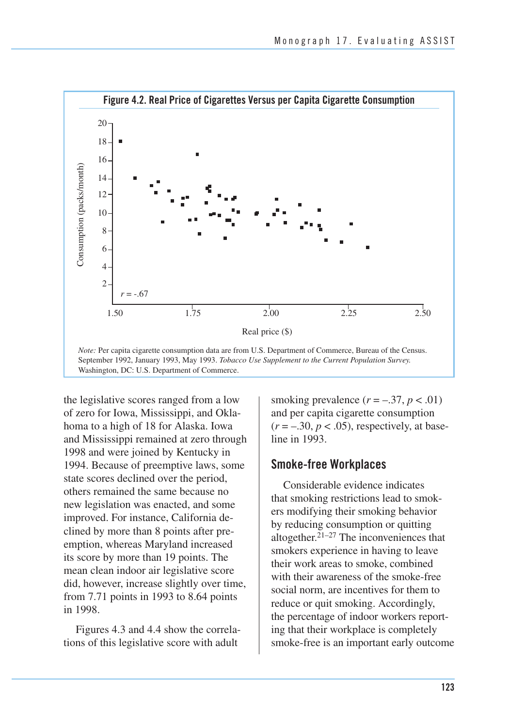

Washington, DC: U.S. Department of Commerce.

the legislative scores ranged from a low of zero for Iowa, Mississippi, and Oklahoma to a high of 18 for Alaska. Iowa and Mississippi remained at zero through 1998 and were joined by Kentucky in 1994. Because of preemptive laws, some state scores declined over the period, others remained the same because no new legislation was enacted, and some improved. For instance, California declined by more than 8 points after preemption, whereas Maryland increased its score by more than 19 points. The mean clean indoor air legislative score did, however, increase slightly over time, from 7.71 points in 1993 to 8.64 points in 1998.

Figures 4.3 and 4.4 show the correlations of this legislative score with adult

smoking prevalence  $(r = -.37, p < .01)$ and per capita cigarette consumption  $(r = -.30, p < .05)$ , respectively, at baseline in 1993.

#### **Smoke-free Workplaces**

 Considerable evidence indicates that smoking restrictions lead to smok- ers modifying their smoking behavior by reducing consumption or quitting altogether.<sup>21–27</sup> The inconveniences that smokers experience in having to leave their work areas to smoke, combined with their awareness of the smoke-free social norm, are incentives for them to reduce or quit smoking. Accordingly, the percentage of indoor workers report- ing that their workplace is completely smoke-free is an important early outcome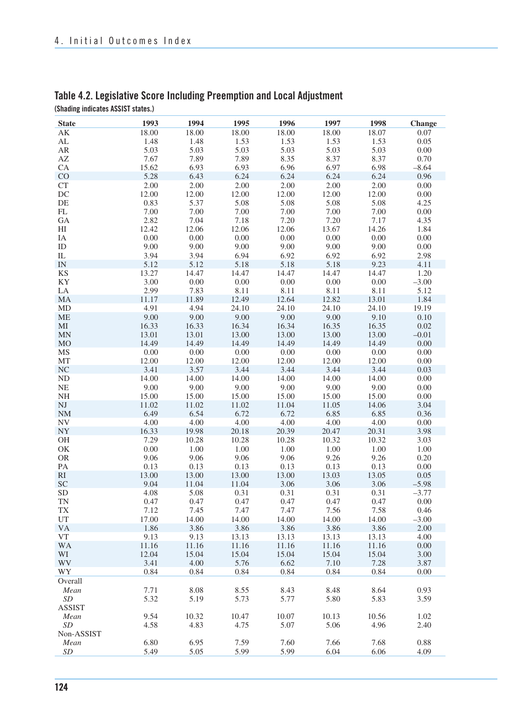| <b>State</b>           | 1993  | 1994  | 1995  | 1996  | 1997  | 1998  | <b>Change</b> |
|------------------------|-------|-------|-------|-------|-------|-------|---------------|
| АK                     | 18.00 | 18.00 | 18.00 | 18.00 | 18.00 | 18.07 | 0.07          |
| AL                     | 1.48  | 1.48  | 1.53  | 1.53  | 1.53  | 1.53  | 0.05          |
| AR                     | 5.03  | 5.03  | 5.03  | 5.03  | 5.03  | 5.03  | 0.00          |
| $\mathbf{A}\mathbf{Z}$ | 7.67  | 7.89  | 7.89  |       | 8.37  | 8.37  |               |
|                        |       |       |       | 8.35  |       |       | 0.70          |
| CA                     | 15.62 | 6.93  | 6.93  | 6.96  | 6.97  | 6.98  | $-8.64$       |
| CO                     | 5.28  | 6.43  | 6.24  | 6.24  | 6.24  | 6.24  | 0.96          |
| CT                     | 2.00  | 2.00  | 2.00  | 2.00  | 2.00  | 2.00  | 0.00          |
| DC                     | 12.00 | 12.00 | 12.00 | 12.00 | 12.00 | 12.00 | 0.00          |
| DE                     | 0.83  | 5.37  | 5.08  | 5.08  | 5.08  | 5.08  | 4.25          |
| FL                     | 7.00  | 7.00  | 7.00  | 7.00  | 7.00  | 7.00  | 0.00          |
| GA                     | 2.82  | 7.04  | 7.18  | 7.20  | 7.20  | 7.17  | 4.35          |
| HI                     | 12.42 | 12.06 | 12.06 | 12.06 | 13.67 | 14.26 | 1.84          |
| IA                     | 0.00  | 0.00  | 0.00  | 0.00  | 0.00  | 0.00  | 0.00          |
| ID                     | 9.00  | 9.00  | 9.00  | 9.00  | 9.00  | 9.00  | 0.00          |
| IL                     | 3.94  | 3.94  | 6.94  | 6.92  | 6.92  | 6.92  | 2.98          |
|                        |       |       |       |       |       |       |               |
| $\text{IN}{}$          | 5.12  | 5.12  | 5.18  | 5.18  | 5.18  | 9.23  | 4.11          |
| <b>KS</b>              | 13.27 | 14.47 | 14.47 | 14.47 | 14.47 | 14.47 | 1.20          |
| KY                     | 3.00  | 0.00  | 0.00  | 0.00  | 0.00  | 0.00  | $-3.00$       |
| LA                     | 2.99  | 7.83  | 8.11  | 8.11  | 8.11  | 8.11  | 5.12          |
| MA                     | 11.17 | 11.89 | 12.49 | 12.64 | 12.82 | 13.01 | 1.84          |
| MD                     | 4.91  | 4.94  | 24.10 | 24.10 | 24.10 | 24.10 | 19.19         |
| ME                     | 9.00  | 9.00  | 9.00  | 9.00  | 9.00  | 9.10  | 0.10          |
| MI                     | 16.33 | 16.33 | 16.34 | 16.34 | 16.35 | 16.35 | 0.02          |
| MN                     | 13.01 | 13.01 | 13.00 | 13.00 | 13.00 | 13.00 | $-0.01$       |
| M <sub>O</sub>         | 14.49 | 14.49 | 14.49 | 14.49 | 14.49 | 14.49 | 0.00          |
| MS                     | 0.00  | 0.00  | 0.00  | 0.00  | 0.00  | 0.00  | 0.00          |
| MT                     | 12.00 | 12.00 | 12.00 | 12.00 | 12.00 | 12.00 | $0.00\,$      |
| <b>NC</b>              | 3.41  | 3.57  | 3.44  | 3.44  | 3.44  | 3.44  | 0.03          |
| ${\rm ND}$             | 14.00 | 14.00 | 14.00 | 14.00 | 14.00 | 14.00 | 0.00          |
|                        |       |       |       |       |       |       |               |
| NE                     | 9.00  | 9.00  | 9.00  | 9.00  | 9.00  | 9.00  | 0.00          |
| NH                     | 15.00 | 15.00 | 15.00 | 15.00 | 15.00 | 15.00 | 0.00          |
| $\mathbf{N}\mathbf{J}$ | 11.02 | 11.02 | 11.02 | 11.04 | 11.05 | 14.06 | 3.04          |
| <b>NM</b>              | 6.49  | 6.54  | 6.72  | 6.72  | 6.85  | 6.85  | 0.36          |
| ${\rm NV}$             | 4.00  | 4.00  | 4.00  | 4.00  | 4.00  | 4.00  | 0.00          |
| NY                     | 16.33 | 19.98 | 20.18 | 20.39 | 20.47 | 20.31 | 3.98          |
| OH                     | 7.29  | 10.28 | 10.28 | 10.28 | 10.32 | 10.32 | 3.03          |
| OK                     | 0.00  | 1.00  | 1.00  | 1.00  | 1.00  | 1.00  | 1.00          |
| <b>OR</b>              | 9.06  | 9.06  | 9.06  | 9.06  | 9.26  | 9.26  | 0.20          |
| PA                     | 0.13  | 0.13  | 0.13  | 0.13  | 0.13  | 0.13  | 0.00          |
| RI                     | 13.00 | 13.00 | 13.00 | 13.00 | 13.03 | 13.05 | 0.05          |
| SC                     | 9.04  | 11.04 | 11.04 | 3.06  | 3.06  | 3.06  | $-5.98$       |
| <b>SD</b>              | 4.08  | 5.08  | 0.31  | 0.31  | 0.31  | 0.31  | $-3.77$       |
| <b>TN</b>              | 0.47  | 0.47  | 0.47  | 0.47  | 0.47  | 0.47  | 0.00          |
| TX                     | 7.12  | 7.45  | 7.47  | 7.47  | 7.56  | 7.58  | 0.46          |
|                        |       |       |       |       |       |       |               |
| UT                     | 17.00 | 14.00 | 14.00 | 14.00 | 14.00 | 14.00 | $-3.00$       |
| VA                     | 1.86  | 3.86  | 3.86  | 3.86  | 3.86  | 3.86  | 2.00          |
| <b>VT</b>              | 9.13  | 9.13  | 13.13 | 13.13 | 13.13 | 13.13 | 4.00          |
| <b>WA</b>              | 11.16 | 11.16 | 11.16 | 11.16 | 11.16 | 11.16 | 0.00          |
| WI                     | 12.04 | 15.04 | 15.04 | 15.04 | 15.04 | 15.04 | 3.00          |
| WV                     | 3.41  | 4.00  | 5.76  | 6.62  | 7.10  | 7.28  | 3.87          |
| WY                     | 0.84  | 0.84  | 0.84  | 0.84  | 0.84  | 0.84  | 0.00          |
| Overall                |       |       |       |       |       |       |               |
| Mean                   | 7.71  | 8.08  | 8.55  | 8.43  | 8.48  | 8.64  | 0.93          |
| SD                     | 5.32  | 5.19  | 5.73  | 5.77  | 5.80  | 5.83  | 3.59          |
| ASSIST                 |       |       |       |       |       |       |               |
| Mean                   | 9.54  | 10.32 | 10.47 | 10.07 | 10.13 | 10.56 | 1.02          |
| SD                     | 4.58  | 4.83  | 4.75  | 5.07  | 5.06  | 4.96  | 2.40          |
|                        |       |       |       |       |       |       |               |
| Non-ASSIST             |       |       |       |       |       |       |               |
| Mean                   | 6.80  | 6.95  | 7.59  | 7.60  | 7.66  | 7.68  | 0.88          |
| SD                     | 5.49  | 5.05  | 5.99  | 5.99  | 6.04  | 6.06  | 4.09          |

#### **Table 4.2. Legislative Score Including Preemption and Local Adjustment (Shading indicates ASSIST states.)**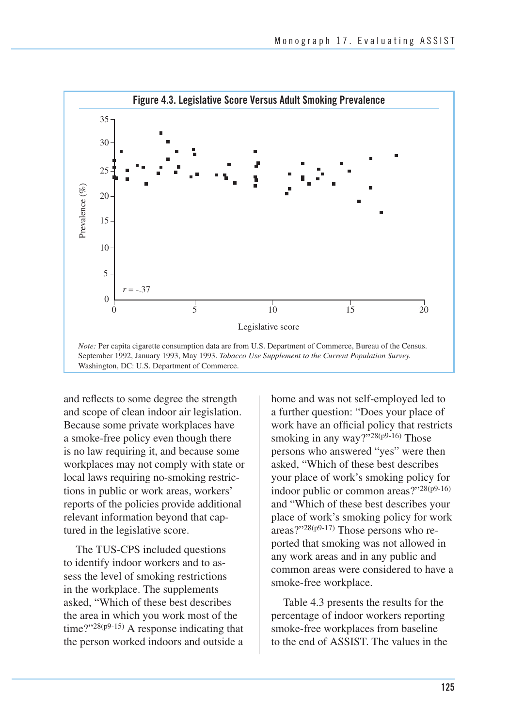

 and reflects to some degree the strength Because some private workplaces have a smoke-free policy even though there is no law requiring it, and because some workplaces may not comply with state or local laws requiring no-smoking restric- tions in public or work areas, workers' reports of the policies provide additional relevant information beyond that cap- tured in the legislative score. and scope of clean indoor air legislation.

The TUS-CPS included questions to identify indoor workers and to assess the level of smoking restrictions in the workplace. The supplements asked, "Which of these best describes the area in which you work most of the time?"28(p9-15) A response indicating that the person worked indoors and outside a home and was not self-employed led to a further question: "Does your place of work have an official policy that restricts smoking in any way?" $28(p9-16)$  Those persons who answered "yes" were then asked, "Which of these best describes your place of work's smoking policy for indoor public or common areas?"28(p9-16) and "Which of these best describes your place of work's smoking policy for work areas?"28(p9-17) Those persons who reported that smoking was not allowed in any work areas and in any public and common areas were considered to have a smoke-free workplace.

Table 4.3 presents the results for the percentage of indoor workers reporting smoke-free workplaces from baseline to the end of ASSIST. The values in the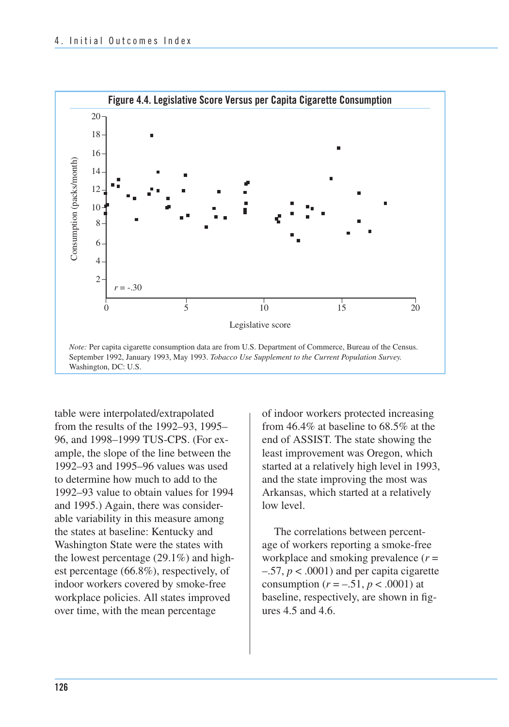

table were interpolated/extrapolated from the results of the 1992–93, 1995– 96, and 1998–1999 TUS-CPS. (For example, the slope of the line between the 1992–93 and 1995–96 values was used to determine how much to add to the 1992–93 value to obtain values for 1994 and 1995.) Again, there was considerable variability in this measure among the states at baseline: Kentucky and Washington State were the states with the lowest percentage (29.1%) and highest percentage (66.8%), respectively, of indoor workers covered by smoke-free workplace policies. All states improved over time, with the mean percentage

of indoor workers protected increasing from 46.4% at baseline to 68.5% at the end of ASSIST. The state showing the least improvement was Oregon, which started at a relatively high level in 1993, and the state improving the most was Arkansas, which started at a relatively low level.

The correlations between percentage of workers reporting a smoke-free workplace and smoking prevalence (*r* =  $-0.57$ ,  $p < 0.0001$ ) and per capita cigarette consumption  $(r = -.51, p < .0001)$  at baseline, respectively, are shown in figures 4.5 and 4.6.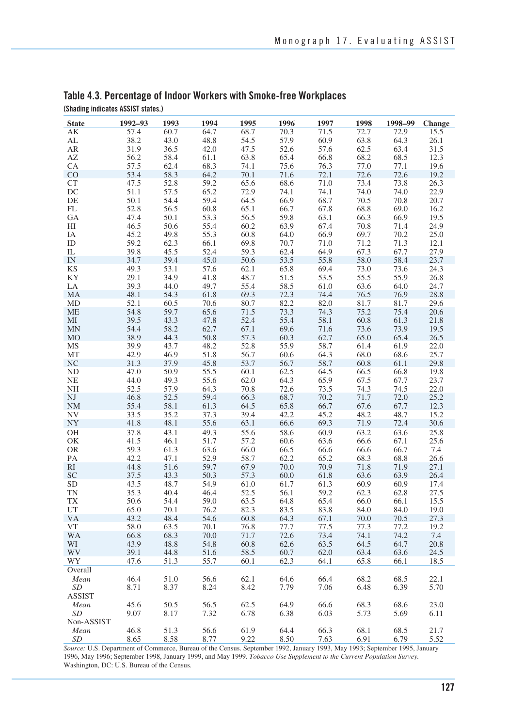| <b>State</b>           | 1992-93      | 1993         | 1994         | 1995         | 1996         | 1997         | 1998         | 1998-99      | Change       |
|------------------------|--------------|--------------|--------------|--------------|--------------|--------------|--------------|--------------|--------------|
| AK                     | 57.4         | 60.7         | 64.7         | 68.7         | 70.3         | 71.5         | 72.7         | 72.9         | 15.5         |
| AL                     | 38.2         | 43.0         | 48.8         | 54.5         | 57.9         | 60.9         | 63.8         | 64.3         | 26.1         |
| AR                     | 31.9         | 36.5         | 42.0         | 47.5         | 52.6         | 57.6         | 62.5         | 63.4         | 31.5         |
| AZ                     | 56.2         | 58.4         | 61.1         | 63.8         | 65.4         | 66.8         | 68.2         | 68.5         | 12.3         |
| CA                     | 57.5         | 62.4         | 68.3         | 74.1         | 75.6         | 76.3         | 77.0         | 77.1         | 19.6         |
| CO                     | 53.4         | 58.3         | 64.2         | 70.1         | 71.6         | 72.1         | 72.6         | 72.6         | 19.2         |
| <b>CT</b>              | 47.5         | 52.8         | 59.2         | 65.6         | 68.6         | 71.0         | 73.4         | 73.8         | 26.3         |
| DC                     | 51.1         | 57.5         | 65.2         | 72.9         | 74.1         | 74.1         | 74.0         | 74.0         | 22.9         |
| DE                     | 50.1         | 54.4         | 59.4         | 64.5         | 66.9         | 68.7         | 70.5         | 70.8         | 20.7         |
| FL                     | 52.8         | 56.5         | 60.8         | 65.1         | 66.7         | 67.8         | 68.8         | 69.0         | 16.2         |
| GA                     | 47.4         | 50.1         | 53.3         | 56.5         | 59.8         | 63.1         | 66.3         | 66.9         | 19.5         |
| HI                     | 46.5         | 50.6         | 55.4         | 60.2         | 63.9         | 67.4         | 70.8         | 71.4         | 24.9         |
| IΑ                     | 45.2         | 49.8         | 55.3         | 60.8         | 64.0         | 66.9         | 69.7         | 70.2         | 25.0         |
| ID                     | 59.2         | 62.3         | 66.1         | 69.8         | 70.7         | 71.0         | 71.2         | 71.3         | 12.1         |
| IL                     | 39.8         | 45.5         | 52.4         | 59.3         | 62.4         | 64.9         | 67.3         | 67.7         | 27.9         |
| IN                     | 34.7         | 39.4         | 45.0         | 50.6         | 53.5         | 55.8         | 58.0         | 58.4         | 23.7         |
| <b>KS</b>              | 49.3         | 53.1         | 57.6         | 62.1         | 65.8         | 69.4         | 73.0         | 73.6         | 24.3         |
| KY                     | 29.1         | 34.9         | 41.8         | 48.7         | 51.5         | 53.5         | 55.5         | 55.9         | 26.8         |
| LA                     | 39.3         | 44.0         | 49.7         | 55.4         | 58.5         | 61.0         | 63.6         | 64.0         | 24.7         |
| MA                     | 48.1         | 54.3         | 61.8         | 69.3         | 72.3         | 74.4         | 76.5         | 76.9         | 28.8         |
| MD                     | 52.1         | 60.5         | 70.6         | 80.7         | 82.2         | 82.0         | 81.7         | 81.7         | 29.6         |
| <b>ME</b>              | 54.8         | 59.7         | 65.6         | 71.5         | 73.3         | 74.3         | 75.2         | 75.4         | 20.6         |
| MI                     | 39.5         | 43.3         | 47.8         | 52.4         | 55.4         | 58.1         | 60.8         | 61.3         | 21.8         |
| MN                     | 54.4         | 58.2         | 62.7         | 67.1         | 69.6         | 71.6         | 73.6         | 73.9         | 19.5         |
| M <sub>O</sub>         | 38.9         | 44.3         | 50.8         | 57.3         | 60.3         | 62.7         | 65.0         | 65.4         | 26.5         |
| MS                     | 39.9         | 43.7         | 48.2         | 52.8         | 55.9         | 58.7         | 61.4         | 61.9         | 22.0         |
| MT                     | 42.9         | 46.9         | 51.8         | 56.7         | 60.6         | 64.3         | 68.0         | 68.6         | 25.7         |
| NC                     | 31.3         | 37.9         | 45.8         | 53.7         | 56.7         | 58.7         | 60.8         | 61.1         | 29.8         |
| ND                     | 47.0         | 50.9         | 55.5         | 60.1         | 62.5         | 64.5         | 66.5         | 66.8         | 19.8         |
| <b>NE</b>              | 44.0         | 49.3         | 55.6         | 62.0         | 64.3         | 65.9         | 67.5         | 67.7         | 23.7         |
| NH                     | 52.5         | 57.9         | 64.3         | 70.8         | 72.6         | 73.5         | 74.3         | 74.5         | 22.0         |
| NJ                     | 46.8         | 52.5         | 59.4         | 66.3         | 68.7         | 70.2         | 71.7         | 72.0         | 25.2         |
| <b>NM</b>              | 55.4         | 58.1         | 61.3         | 64.5         | 65.8         | 66.7         | 67.6         | 67.7         | 12.3         |
| NV                     | 33.5         | 35.2         | 37.3         | 39.4         | 42.2         | 45.2         | 48.2         | 48.7         | 15.2         |
| ${\rm NY}$             | 41.8         | 48.1         | 55.6         | 63.1         | 66.6         | 69.3         | 71.9         | 72.4         | 30.6         |
| OH                     | 37.8         | 43.1         | 49.3         | 55.6         | 58.6         | 60.9         | 63.2         | 63.6         | 25.8         |
| OK                     | 41.5         | 46.1         | 51.7         | 57.2         | 60.6         | 63.6         | 66.6         | 67.1         | 25.6         |
| <b>OR</b>              | 59.3<br>42.2 | 61.3         | 63.6         | 66.0         | 66.5         | 66.6         | 66.6         | 66.7         | 7.4          |
| PA                     |              | 47.1         | 52.9         | 58.7         | 62.2         | 65.2         | 68.3         | 68.8         | 26.6         |
| RI                     | 44.8         | 51.6         | 59.7         | 67.9         | 70.0         | 70.9         | 71.8         | 71.9         | 27.1         |
| <b>SC</b><br><b>SD</b> | 37.5<br>43.5 | 43.3<br>48.7 | 50.3<br>54.9 | 57.3<br>61.0 | 60.0<br>61.7 | 61.8<br>61.3 | 63.6<br>60.9 | 63.9         | 26.4<br>17.4 |
| TN                     | 35.3         | 40.4         | 46.4         | 52.5         | 56.1         | 59.2         | 62.3         | 60.9<br>62.8 | 27.5         |
| TX                     | 50.6         | 54.4         | 59.0         | 63.5         | 64.8         | 65.4         | 66.0         | 66.1         | 15.5         |
| UT                     | 65.0         | 70.1         | 76.2         | 82.3         | 83.5         | 83.8         | 84.0         | 84.0         | 19.0         |
| VA                     | 43.2         | 48.4         | 54.6         | 60.8         | 64.3         | 67.1         | 70.0         | 70.5         | 27.3         |
| VT                     | 58.0         | 63.5         | 70.1         | 76.8         | 77.7         | 77.5         | 77.3         | 77.2         | 19.2         |
| WA                     | 66.8         | 68.3         | 70.0         | 71.7         | 72.6         | 73.4         | 74.1         | 74.2         | 7.4          |
| WI                     | 43.9         | 48.8         | 54.8         | 60.8         | 62.6         | 63.5         | 64.5         | 64.7         | 20.8         |
| WV                     | 39.1         | 44.8         | 51.6         | 58.5         | 60.7         | 62.0         | 63.4         | 63.6         | 24.5         |
| WY                     | 47.6         | 51.3         | 55.7         | 60.1         | 62.3         | 64.1         | 65.8         | 66.1         | 18.5         |
| Overall                |              |              |              |              |              |              |              |              |              |
| Mean                   | 46.4         | 51.0         | 56.6         | 62.1         | 64.6         | 66.4         | 68.2         | 68.5         | 22.1         |
| SD                     | 8.71         | 8.37         | 8.24         | 8.42         | 7.79         | 7.06         | 6.48         | 6.39         | 5.70         |
| <b>ASSIST</b>          |              |              |              |              |              |              |              |              |              |
| Mean                   | 45.6         | 50.5         | 56.5         | 62.5         | 64.9         | 66.6         | 68.3         | 68.6         | 23.0         |
| SD                     | 9.07         | 8.17         | 7.32         | 6.78         | 6.38         | 6.03         | 5.73         | 5.69         | 6.11         |
| Non-ASSIST             |              |              |              |              |              |              |              |              |              |
| Mean                   | 46.8         | 51.3         | 56.6         | 61.9         | 64.4         | 66.3         | 68.1         | 68.5         | 21.7         |
| SD                     | 8.65         | 8.58         | 8.77         | 9.22         | 8.50         | 7.63         | 6.91         | 6.79         | 5.52         |
|                        |              |              |              |              |              |              |              |              |              |

#### **Table 4.3. Percentage of Indoor Workers with Smoke-free Workplaces (Shading indicates ASSIST states.)**

*Source:* U.S. Department of Commerce, Bureau of the Census. September 1992, January 1993, May 1993; September 1995, January 1996, May 1996; September 1998, January 1999, and May 1999. *Tobacco Use Supplement to the Current Population Survey.*  Washington, DC: U.S. Bureau of the Census.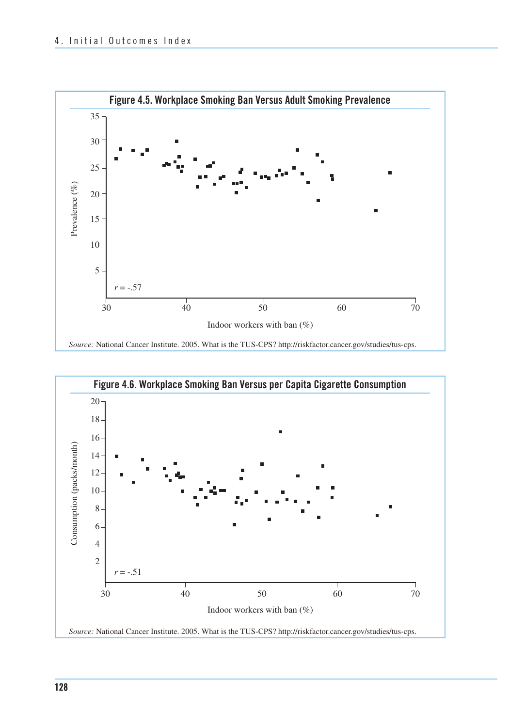

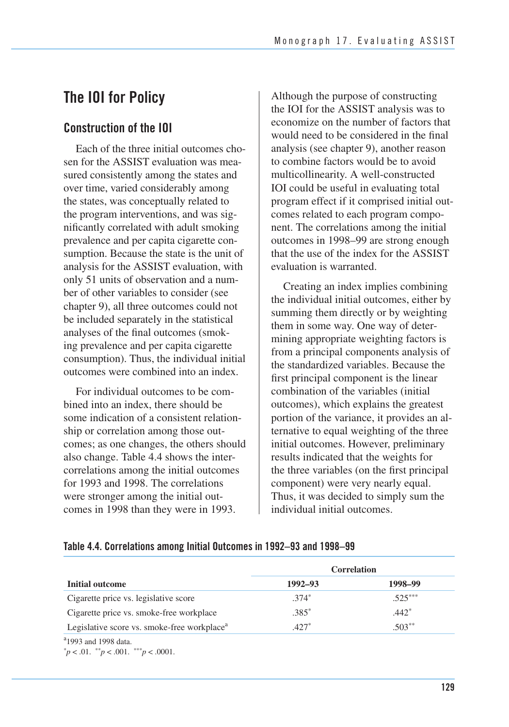# **The IOI for Policy**

### **Construction of the IOI**

 Each of the three initial outcomes cho- sen for the ASSIST evaluation was mea- sured consistently among the states and over time, varied considerably among the states, was conceptually related to the program interventions, and was sig- nificantly correlated with adult smoking prevalence and per capita cigarette con- sumption. Because the state is the unit of analysis for the ASSIST evaluation, with only 51 units of observation and a num- ber of other variables to consider (see chapter 9), all three outcomes could not be included separately in the statistical analyses of the final outcomes (smok- ing prevalence and per capita cigarette consumption). Thus, the individual initial outcomes were combined into an index.

For individual outcomes to be combined into an index, there should be some indication of a consistent relationship or correlation among those outcomes; as one changes, the others should also change. Table 4.4 shows the intercorrelations among the initial outcomes for 1993 and 1998. The correlations were stronger among the initial outcomes in 1998 than they were in 1993.

Although the purpose of constructing the IOI for the ASSIST analysis was to economize on the number of factors that would need to be considered in the final analysis (see chapter 9), another reason to combine factors would be to avoid multicollinearity. A well-constructed IOI could be useful in evaluating total program effect if it comprised initial outcomes related to each program component. The correlations among the initial outcomes in 1998–99 are strong enough that the use of the index for the ASSIST evaluation is warranted.

Creating an index implies combining the individual initial outcomes, either by summing them directly or by weighting them in some way. One way of determining appropriate weighting factors is from a principal components analysis of the standardized variables. Because the first principal component is the linear combination of the variables (initial outcomes), which explains the greatest portion of the variance, it provides an alternative to equal weighting of the three initial outcomes. However, preliminary results indicated that the weights for the three variables (on the first principal component) were very nearly equal. Thus, it was decided to simply sum the individual initial outcomes.

#### **Table 4.4. Correlations among Initial Outcomes in 1992–93 and 1998–99**

|                                                         |             | <b>Correlation</b> |
|---------------------------------------------------------|-------------|--------------------|
| Initial outcome                                         | $1992 - 93$ | 1998-99            |
| Cigarette price vs. legislative score                   | $.374*$     | $.525***$          |
| Cigarette price vs. smoke-free workplace                | $.385*$     | $.442*$            |
| Legislative score vs. smoke-free workplace <sup>a</sup> | $.427*$     | $.503**$           |
| <sup>a</sup> 1993 and 1998 data.                        |             |                    |

 $p^* p < 0.01$ .  $p^* p < 0.001$ .  $p^* p < 0.0001$ .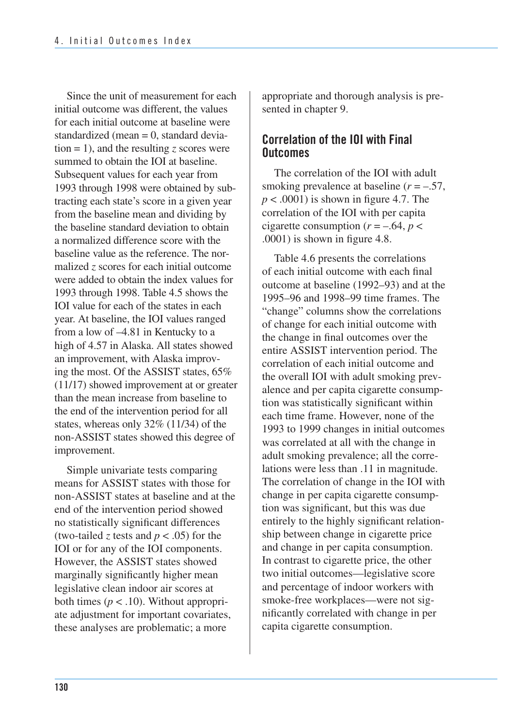Since the unit of measurement for each initial outcome was different, the values for each initial outcome at baseline were standardized (mean = 0, standard devia- tion = 1), and the resulting *z* scores were summed to obtain the IOI at baseline. Subsequent values for each year from 1993 through 1998 were obtained by sub- tracting each state's score in a given year from the baseline mean and dividing by the baseline standard deviation to obtain a normalized difference score with the baseline value as the reference. The nor- malized *z* scores for each initial outcome were added to obtain the index values for 1993 through 1998. Table 4.5 shows the IOI value for each of the states in each year. At baseline, the IOI values ranged from a low of –4.81 in Kentucky to a high of 4.57 in Alaska. All states showed an improvement, with Alaska improv- ing the most. Of the ASSIST states, 65% (11/17) showed improvement at or greater than the mean increase from baseline to the end of the intervention period for all states, whereas only 32% (11/34) of the non-ASSIST states showed this degree of improvement.

Simple univariate tests comparing means for ASSIST states with those for non-ASSIST states at baseline and at the end of the intervention period showed no statistically significant differences (two-tailed *z* tests and  $p < .05$ ) for the IOI or for any of the IOI components. However, the ASSIST states showed marginally significantly higher mean legislative clean indoor air scores at both times  $(p < .10)$ . Without appropriate adjustment for important covariates, these analyses are problematic; a more

appropriate and thorough analysis is presented in chapter 9.

### **Correlation of the IOI with Final Outcomes**

The correlation of the IOI with adult smoking prevalence at baseline (*r* = –.57,  $p < .0001$ ) is shown in figure 4.7. The correlation of the IOI with per capita cigarette consumption  $(r = -.64, p <$ .0001) is shown in figure 4.8.

Table 4.6 presents the correlations of each initial outcome with each final outcome at baseline (1992–93) and at the 1995–96 and 1998–99 time frames. The "change" columns show the correlations of change for each initial outcome with the change in final outcomes over the entire ASSIST intervention period. The correlation of each initial outcome and the overall IOI with adult smoking prevalence and per capita cigarette consumption was statistically significant within each time frame. However, none of the 1993 to 1999 changes in initial outcomes was correlated at all with the change in adult smoking prevalence; all the correlations were less than .11 in magnitude. The correlation of change in the IOI with change in per capita cigarette consumption was significant, but this was due entirely to the highly significant relationship between change in cigarette price and change in per capita consumption. In contrast to cigarette price, the other two initial outcomes—legislative score and percentage of indoor workers with smoke-free workplaces—were not significantly correlated with change in per capita cigarette consumption.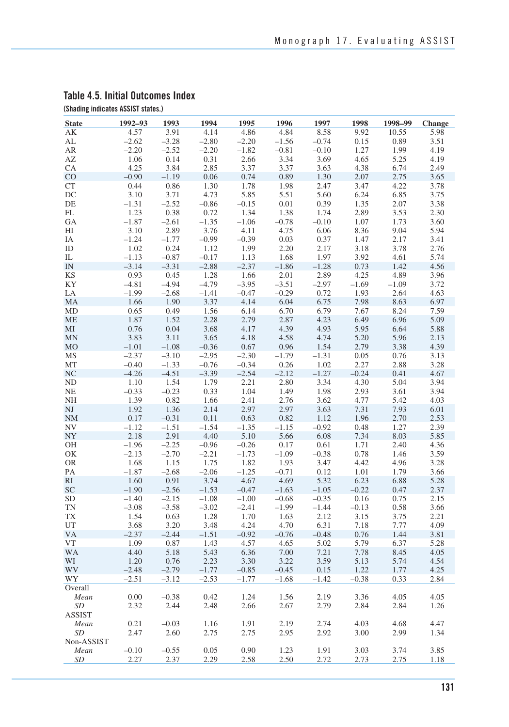| <b>State</b>             | 1992-93 | 1993    | 1994    | 1995    | 1996    | 1997    | 1998    | 1998-99 | Change |
|--------------------------|---------|---------|---------|---------|---------|---------|---------|---------|--------|
| AK                       | 4.57    | 3.91    | 4.14    | 4.86    | 4.84    | 8.58    | 9.92    | 10.55   | 5.98   |
| $\mathrm{AL}$            | $-2.62$ | $-3.28$ | $-2.80$ | $-2.20$ | $-1.56$ | $-0.74$ | 0.15    | 0.89    | 3.51   |
| ${\sf AR}$               | $-2.20$ | $-2.52$ | $-2.20$ | $-1.82$ | $-0.81$ | $-0.10$ | 1.27    | 1.99    | 4.19   |
| AZ                       | 1.06    | 0.14    | 0.31    | 2.66    | 3.34    | 3.69    | 4.65    | 5.25    | 4.19   |
| CA                       | 4.25    | 3.84    | 2.85    | 3.37    | 3.37    | 3.63    | 4.38    | 6.74    | 2.49   |
| CO                       | $-0.90$ | $-1.19$ | 0.06    | 0.74    | 0.89    | 1.30    | 2.07    | 2.75    | 3.65   |
| ${\cal C}{\cal T}$       | 0.44    | 0.86    | 1.30    | 1.78    | 1.98    | 2.47    | 3.47    | 4.22    | 3.78   |
| DC                       | 3.10    | 3.71    | 4.73    | 5.85    | 5.51    | 5.60    | 6.24    | 6.85    | 3.75   |
| DE                       | $-1.31$ | $-2.52$ | $-0.86$ | $-0.15$ | 0.01    | 0.39    | 1.35    | 2.07    | 3.38   |
| FL                       | 1.23    | 0.38    | 0.72    | 1.34    | 1.38    | 1.74    | 2.89    | 3.53    | 2.30   |
| GA                       | $-1.87$ | $-2.61$ | $-1.35$ | $-1.06$ | $-0.78$ | $-0.10$ | 1.07    | 1.73    | 3.60   |
| HI                       | 3.10    | 2.89    | 3.76    | 4.11    | 4.75    | 6.06    | 8.36    | 9.04    | 5.94   |
| IΑ                       | $-1.24$ | $-1.77$ | $-0.99$ | $-0.39$ | 0.03    | 0.37    | 1.47    | 2.17    | 3.41   |
| ID                       | 1.02    | 0.24    | 1.12    | 1.99    | 2.20    | 2.17    | 3.18    | 3.78    | 2.76   |
| IL                       | $-1.13$ | $-0.87$ | $-0.17$ | 1.13    | 1.68    | 1.97    | 3.92    | 4.61    | 5.74   |
| $\ensuremath{\text{IN}}$ | $-3.14$ | $-3.31$ | $-2.88$ | $-2.37$ | $-1.86$ | $-1.28$ | 0.73    | 1.42    | 4.56   |
| KS                       | 0.93    | 0.45    | 1.28    | 1.66    | 2.01    | 2.89    | 4.25    | 4.89    | 3.96   |
| KY                       | $-4.81$ | $-4.94$ | $-4.79$ | $-3.95$ | $-3.51$ | $-2.97$ | $-1.69$ | $-1.09$ | 3.72   |
| LA                       | $-1.99$ | $-2.68$ | $-1.41$ | $-0.47$ | $-0.29$ | 0.72    | 1.93    | 2.64    | 4.63   |
| MA                       | 1.66    | 1.90    | 3.37    | 4.14    | 6.04    | 6.75    | 7.98    | 8.63    | 6.97   |
| MD                       | 0.65    | 0.49    | 1.56    | 6.14    | 6.70    | 6.79    | 7.67    | 8.24    | 7.59   |
| <b>ME</b>                | 1.87    | 1.52    | 2.28    | 2.79    | 2.87    | 4.23    | 6.49    | 6.96    | 5.09   |
| MI                       | 0.76    | 0.04    | 3.68    | 4.17    | 4.39    | 4.93    | 5.95    | 6.64    | 5.88   |
| <b>MN</b>                | 3.83    | 3.11    | 3.65    | 4.18    | 4.58    | 4.74    | 5.20    | 5.96    | 2.13   |
| $_{\rm MO}$              | $-1.01$ | $-1.08$ | $-0.36$ | 0.67    | 0.96    | 1.54    | 2.79    | 3.38    | 4.39   |
| $\rm{MS}$                | $-2.37$ | $-3.10$ | $-2.95$ | $-2.30$ | $-1.79$ | $-1.31$ | 0.05    | 0.76    | 3.13   |
| MT                       | $-0.40$ | $-1.33$ | $-0.76$ | $-0.34$ | 0.26    | 1.02    | 2.27    | 2.88    | 3.28   |
| $\rm NC$                 | $-4.26$ | $-4.51$ | $-3.39$ | $-2.54$ | $-2.12$ | $-1.27$ | $-0.24$ | 0.41    | 4.67   |
| $\rm ND$                 | 1.10    | 1.54    | 1.79    | 2.21    | 2.80    | 3.34    | 4.30    | 5.04    | 3.94   |
| NE                       | $-0.33$ | $-0.23$ | 0.33    | 1.04    | 1.49    | 1.98    | 2.93    | 3.61    | 3.94   |
| NH                       | 1.39    | 0.82    | 1.66    | 2.41    | 2.76    | 3.62    | 4.77    | 5.42    | 4.03   |
| $\rm{NJ}$                | 1.92    | 1.36    | 2.14    | 2.97    | 2.97    | 3.63    | 7.31    | 7.93    | 6.01   |
| NM                       | 0.17    | $-0.31$ | 0.11    | 0.63    | 0.82    | 1.12    | 1.96    | 2.70    | 2.53   |
| $\ensuremath{\text{NV}}$ | $-1.12$ | $-1.51$ | $-1.54$ | $-1.35$ | $-1.15$ | $-0.92$ | 0.48    | 1.27    | 2.39   |
| ${\rm NY}$               | 2.18    | 2.91    | 4.40    | 5.10    | 5.66    | 6.08    | 7.34    | 8.03    | 5.85   |
| OH                       | $-1.96$ | $-2.25$ | $-0.96$ | $-0.26$ | 0.17    | 0.61    | 1.71    | 2.40    | 4.36   |
| OK                       | $-2.13$ | $-2.70$ | $-2.21$ | $-1.73$ | $-1.09$ | $-0.38$ | 0.78    | 1.46    | 3.59   |
| <b>OR</b>                | 1.68    | 1.15    | 1.75    | 1.82    | 1.93    | 3.47    | 4.42    | 4.96    | 3.28   |
| PA                       | $-1.87$ | $-2.68$ | $-2.06$ | $-1.25$ | $-0.71$ | 0.12    | 1.01    | 1.79    | 3.66   |
| RI                       | 1.60    | 0.91    | 3.74    | 4.67    | 4.69    | 5.32    | 6.23    | 6.88    | 5.28   |
| SC                       | $-1.90$ | $-2.56$ | $-1.53$ | $-0.47$ | $-1.63$ | $-1.05$ | $-0.22$ | 0.47    | 2.37   |
| ${\rm SD}$               | $-1.40$ | $-2.15$ | $-1.08$ | $-1.00$ | $-0.68$ | $-0.35$ | 0.16    | 0.75    | 2.15   |
| TN                       | $-3.08$ | $-3.58$ | $-3.02$ | $-2.41$ | $-1.99$ | $-1.44$ | $-0.13$ | 0.58    | 3.66   |
| <b>TX</b>                | 1.54    | 0.63    | 1.28    | 1.70    | 1.63    | 2.12    | 3.15    | 3.75    | 2.21   |
| UT                       | 3.68    | 3.20    | 3.48    | 4.24    | 4.70    | 6.31    | 7.18    | 7.77    | 4.09   |
| <b>VA</b>                | $-2.37$ | $-2.44$ | $-1.51$ | $-0.92$ | $-0.76$ | $-0.48$ | 0.76    | 1.44    | 3.81   |
| <b>VT</b>                | 1.09    | 0.87    | 1.43    | 4.57    | 4.65    | 5.02    | 5.79    | 6.37    | 5.28   |
| <b>WA</b>                | 4.40    | 5.18    | 5.43    | 6.36    | 7.00    | 7.21    | 7.78    | 8.45    | 4.05   |
| WI                       | 1.20    | 0.76    | 2.23    | 3.30    | 3.22    | 3.59    | 5.13    | 5.74    | 4.54   |
| WV                       | $-2.48$ | $-2.79$ | $-1.77$ | $-0.85$ | $-0.45$ | 0.15    | 1.22    | 1.77    | 4.25   |
| WY                       | $-2.51$ | $-3.12$ | $-2.53$ | $-1.77$ | $-1.68$ | $-1.42$ | $-0.38$ | 0.33    | 2.84   |
| Overall                  |         |         |         |         |         |         |         |         |        |
| Mean                     | 0.00    | $-0.38$ | 0.42    | 1.24    | 1.56    | 2.19    | 3.36    | 4.05    | 4.05   |
| SD                       | 2.32    | 2.44    | 2.48    | 2.66    | 2.67    | 2.79    | 2.84    | 2.84    | 1.26   |
| ASSIST                   |         |         |         |         |         |         |         |         |        |
| Mean                     | 0.21    | $-0.03$ | 1.16    | 1.91    | 2.19    | 2.74    | 4.03    | 4.68    | 4.47   |
| SD                       | 2.47    | 2.60    | 2.75    | 2.75    | 2.95    | 2.92    | 3.00    | 2.99    | 1.34   |
| Non-ASSIST               |         |         |         |         |         |         |         |         |        |
| Mean                     | $-0.10$ | $-0.55$ | 0.05    | 0.90    | 1.23    | 1.91    | 3.03    | 3.74    | 3.85   |
| SD                       | 2.27    | 2.37    | 2.29    | 2.58    | 2.50    | 2.72    | 2.73    | 2.75    | 1.18   |

#### **Table 4.5. Initial Outcomes Index (Shading indicates ASSIST states.)**

**131**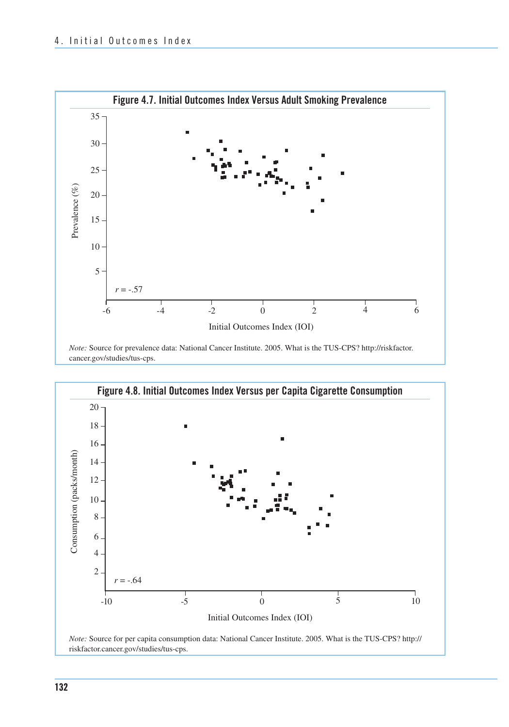

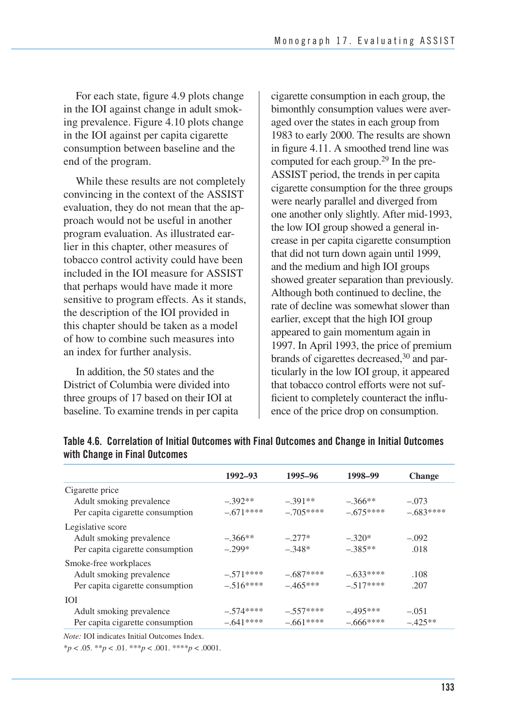For each state, figure 4.9 plots change in the IOI against change in adult smoking prevalence. Figure 4.10 plots change in the IOI against per capita cigarette consumption between baseline and the end of the program.

While these results are not completely convincing in the context of the ASSIST evaluation, they do not mean that the approach would not be useful in another program evaluation. As illustrated earlier in this chapter, other measures of tobacco control activity could have been included in the IOI measure for ASSIST that perhaps would have made it more sensitive to program effects. As it stands, the description of the IOI provided in this chapter should be taken as a model of how to combine such measures into an index for further analysis.

 In addition, the 50 states and the District of Columbia were divided into three groups of 17 based on their IOI at baseline. To examine trends in per capita  cigarette consumption in each group, the bimonthly consumption values were aver aged over the states in each group from 1983 to early 2000. The results are shown in figure 4.11. A smoothed trend line was computed for each group.<sup>29</sup> In the pre- ASSIST period, the trends in per capita cigarette consumption for the three groups were nearly parallel and diverged from one another only slightly. After mid-1993, the low IOI group showed a general in- crease in per capita cigarette consumption that did not turn down again until 1999, and the medium and high IOI groups showed greater separation than previously. Although both continued to decline, the rate of decline was somewhat slower than earlier, except that the high IOI group appeared to gain momentum again in 1997. In April 1993, the price of premium brands of cigarettes decreased,<sup>30</sup> and par ticularly in the low IOI group, it appeared that tobacco control efforts were not suf- ficient to completely counteract the influ-ence of the price drop on consumption.

| $1992 - 93$ | 1995-96    | 1998-99    | <b>Change</b> |
|-------------|------------|------------|---------------|
|             |            |            |               |
| $-392**$    | $-.391**$  | $-.366**$  | $-.073$       |
| $-.671***$  | $-.705***$ | $-.675***$ | $-.683***$    |
|             |            |            |               |
| $-366**$    | $-.277*$   | $-.320*$   | $-.092$       |
| $-299*$     | $-.348*$   | $-.385**$  | .018          |
|             |            |            |               |
| $-.571***$  | $-.687***$ | $-633***$  | .108          |
| $-.516***$  | $-465***$  | $-517***$  | .207          |
|             |            |            |               |
| $-574***$   | $-.557***$ | $-.495***$ | $-.051$       |
| $-.641***$  | $-.661***$ | $-.666***$ | $-.425**$     |
|             |            |            |               |

#### **Table 4.6. Correlation of Initial Outcomes with Final Outcomes and Change in Initial Outcomes with Change in Final Outcomes**

*Note:* IOI indicates Initial Outcomes Index.

 ${}^*p$  < .05.  ${}^{**}p$  < .01.  ${}^{***}p$  < .001.  ${}^{***}p$  < .0001.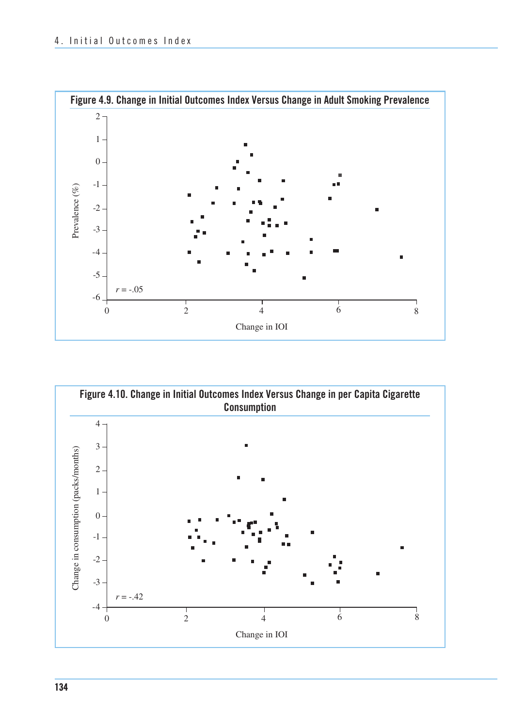

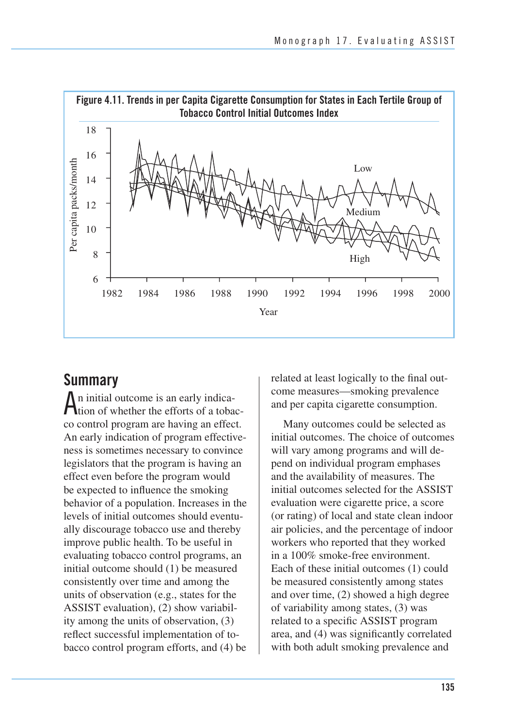

## **Summary**

An initial outcome is an early indica-tion of whether the efforts of a tobacco control program are having an effect. An early indication of program effectiveness is sometimes necessary to convince legislators that the program is having an effect even before the program would be expected to influence the smoking behavior of a population. Increases in the levels of initial outcomes should eventually discourage tobacco use and thereby improve public health. To be useful in evaluating tobacco control programs, an initial outcome should (1) be measured consistently over time and among the units of observation (e.g., states for the ASSIST evaluation), (2) show variability among the units of observation, (3) reflect successful implementation of tobacco control program efforts, and (4) be

related at least logically to the final outcome measures—smoking prevalence and per capita cigarette consumption.

Many outcomes could be selected as initial outcomes. The choice of outcomes will vary among programs and will depend on individual program emphases and the availability of measures. The initial outcomes selected for the ASSIST evaluation were cigarette price, a score (or rating) of local and state clean indoor air policies, and the percentage of indoor workers who reported that they worked in a 100% smoke-free environment. Each of these initial outcomes (1) could be measured consistently among states and over time, (2) showed a high degree of variability among states, (3) was related to a specific ASSIST program area, and (4) was significantly correlated with both adult smoking prevalence and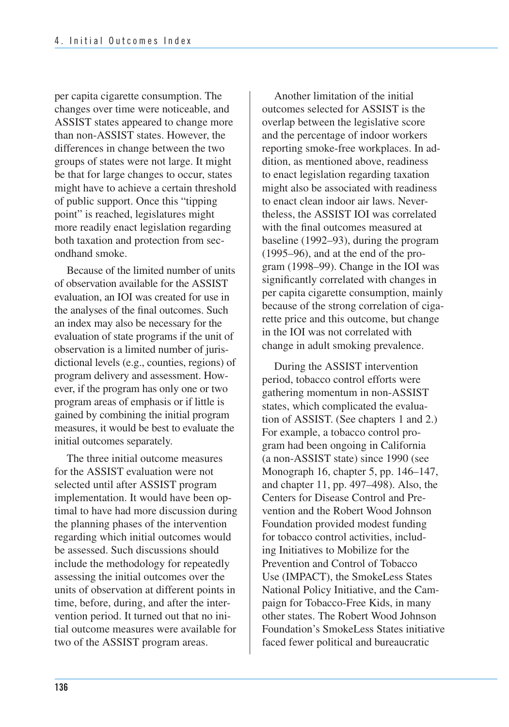per capita cigarette consumption. The changes over time were noticeable, and ASSIST states appeared to change more than non-ASSIST states. However, the differences in change between the two groups of states were not large. It might be that for large changes to occur, states might have to achieve a certain threshold of public support. Once this "tipping point" is reached, legislatures might more readily enact legislation regarding both taxation and protection from secondhand smoke.

 Because of the limited number of units of observation available for the ASSIST evaluation, an IOI was created for use in the analyses of the final outcomes. Such an index may also be necessary for the evaluation of state programs if the unit of observation is a limited number of juris- dictional levels (e.g., counties, regions) of program delivery and assessment. How- ever, if the program has only one or two program areas of emphasis or if little is gained by combining the initial program measures, it would be best to evaluate the initial outcomes separately.

The three initial outcome measures for the ASSIST evaluation were not selected until after ASSIST program implementation. It would have been optimal to have had more discussion during the planning phases of the intervention regarding which initial outcomes would be assessed. Such discussions should include the methodology for repeatedly assessing the initial outcomes over the units of observation at different points in time, before, during, and after the intervention period. It turned out that no initial outcome measures were available for two of the ASSIST program areas.

Another limitation of the initial outcomes selected for ASSIST is the overlap between the legislative score and the percentage of indoor workers reporting smoke-free workplaces. In addition, as mentioned above, readiness to enact legislation regarding taxation might also be associated with readiness to enact clean indoor air laws. Nevertheless, the ASSIST IOI was correlated with the final outcomes measured at baseline (1992–93), during the program (1995–96), and at the end of the program (1998–99). Change in the IOI was significantly correlated with changes in per capita cigarette consumption, mainly because of the strong correlation of cigarette price and this outcome, but change in the IOI was not correlated with change in adult smoking prevalence.

During the ASSIST intervention period, tobacco control efforts were gathering momentum in non-ASSIST states, which complicated the evaluation of ASSIST. (See chapters 1 and 2.) For example, a tobacco control program had been ongoing in California (a non-ASSIST state) since 1990 (see Monograph 16, chapter 5, pp. 146–147, and chapter 11, pp. 497–498). Also, the Centers for Disease Control and Prevention and the Robert Wood Johnson Foundation provided modest funding for tobacco control activities, including Initiatives to Mobilize for the Prevention and Control of Tobacco Use (IMPACT), the SmokeLess States National Policy Initiative, and the Campaign for Tobacco-Free Kids, in many other states. The Robert Wood Johnson Foundation's SmokeLess States initiative faced fewer political and bureaucratic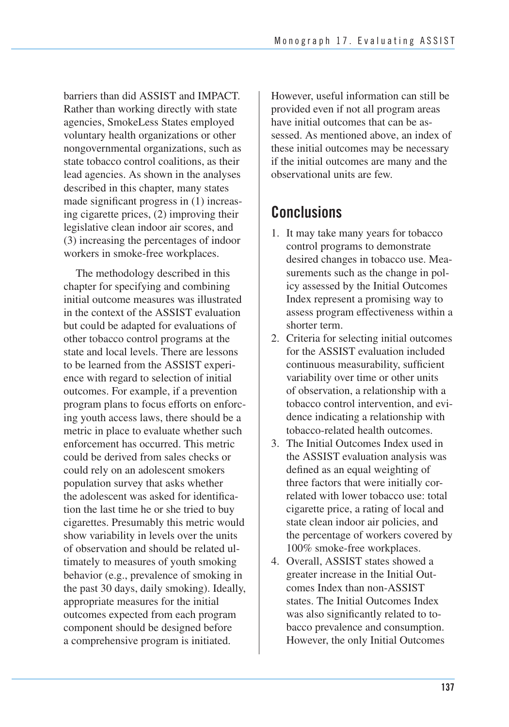barriers than did ASSIST and IMPACT. Rather than working directly with state agencies, SmokeLess States employed voluntary health organizations or other nongovernmental organizations, such as state tobacco control coalitions, as their lead agencies. As shown in the analyses described in this chapter, many states made significant progress in (1) increasing cigarette prices, (2) improving their legislative clean indoor air scores, and (3) increasing the percentages of indoor workers in smoke-free workplaces.

The methodology described in this chapter for specifying and combining initial outcome measures was illustrated in the context of the ASSIST evaluation but could be adapted for evaluations of other tobacco control programs at the state and local levels. There are lessons to be learned from the ASSIST experience with regard to selection of initial outcomes. For example, if a prevention program plans to focus efforts on enforcing youth access laws, there should be a metric in place to evaluate whether such enforcement has occurred. This metric could be derived from sales checks or could rely on an adolescent smokers population survey that asks whether the adolescent was asked for identification the last time he or she tried to buy cigarettes. Presumably this metric would show variability in levels over the units of observation and should be related ultimately to measures of youth smoking behavior (e.g., prevalence of smoking in the past 30 days, daily smoking). Ideally, appropriate measures for the initial outcomes expected from each program component should be designed before a comprehensive program is initiated.

However, useful information can still be provided even if not all program areas have initial outcomes that can be assessed. As mentioned above, an index of these initial outcomes may be necessary if the initial outcomes are many and the observational units are few.

## **Conclusions**

- 1. It may take many years for tobacco control programs to demonstrate desired changes in tobacco use. Measurements such as the change in policy assessed by the Initial Outcomes Index represent a promising way to assess program effectiveness within a shorter term.
- 2. Criteria for selecting initial outcomes for the ASSIST evaluation included continuous measurability, sufficient variability over time or other units of observation, a relationship with a tobacco control intervention, and evidence indicating a relationship with tobacco-related health outcomes.
- 3. The Initial Outcomes Index used in the ASSIST evaluation analysis was defined as an equal weighting of three factors that were initially correlated with lower tobacco use: total cigarette price, a rating of local and state clean indoor air policies, and the percentage of workers covered by 100% smoke-free workplaces.
- 4. Overall, ASSIST states showed a greater increase in the Initial Outcomes Index than non-ASSIST states. The Initial Outcomes Index was also significantly related to tobacco prevalence and consumption. However, the only Initial Outcomes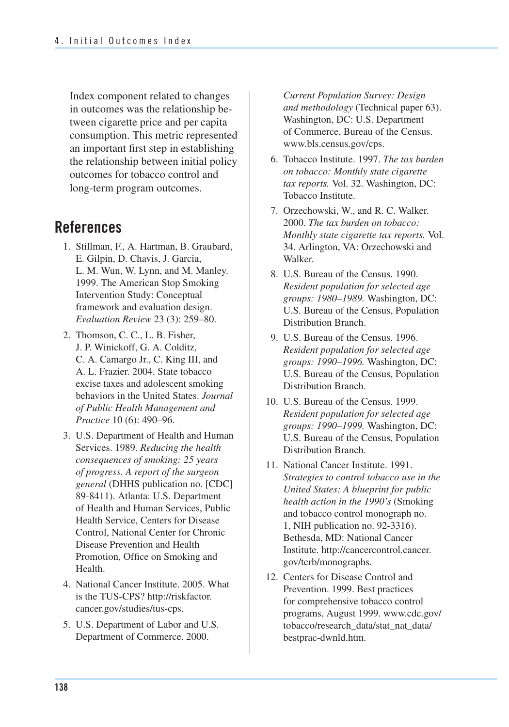Index component related to changes in outcomes was the relationship between cigarette price and per capita consumption. This metric represented an important first step in establishing the relationship between initial policy outcomes for tobacco control and long-term program outcomes.

## **References**

- 1. Stillman, F., A. Hartman, B. Graubard, E. Gilpin, D. Chavis, J. Garcia, L. M. Wun, W. Lynn, and M. Manley. 1999. The American Stop Smoking Intervention Study: Conceptual framework and evaluation design. *Evaluation Review* 23 (3): 259–80.
- 2. Thomson, C. C., L. B. Fisher, J. P. Winickoff, G. A. Colditz, C. A. Camargo Jr., C. King III, and A. L. Frazier. 2004. State tobacco excise taxes and adolescent smoking behaviors in the United States. *Journal of Public Health Management and Practice* 10 (6): 490–96.
- 3. U.S. Department of Health and Human Services. 1989. *Reducing the health consequences of smoking: 25 years of progress. A report of the surgeon general* (DHHS publication no. [CDC] 89-8411). Atlanta: U.S. Department of Health and Human Services, Public Health Service, Centers for Disease Control, National Center for Chronic Disease Prevention and Health Promotion, Office on Smoking and Health.
- 4. National Cancer Institute. 2005. What is the TUS-CPS? http://riskfactor. cancer.gov/studies/tus-cps.
- 5. U.S. Department of Labor and U.S. Department of Commerce. 2000.

*Current Population Survey: Design and methodology* (Technical paper 63). Washington, DC: U.S. Department of Commerce, Bureau of the Census. www.bls.census.gov/cps.

- 6. Tobacco Institute. 1997. *The tax burden on tobacco: Monthly state cigarette tax reports.* Vol. 32. Washington, DC: Tobacco Institute.
- 7. Orzechowski, W., and R. C. Walker. 2000. *The tax burden on tobacco: Monthly state cigarette tax reports.* Vol. 34. Arlington, VA: Orzechowski and Walker.
- 8. U.S. Bureau of the Census. 1990. *Resident population for selected age groups: 1980–1989.* Washington, DC: U.S. Bureau of the Census, Population Distribution Branch.
- 9. U.S. Bureau of the Census. 1996. *Resident population for selected age groups: 1990–1996.* Washington, DC: U.S. Bureau of the Census, Population Distribution Branch.
- 10. U.S. Bureau of the Census. 1999. *Resident population for selected age groups: 1990–1999.* Washington, DC: U.S. Bureau of the Census, Population Distribution Branch.
- 11. National Cancer Institute. 1991. *Strategies to control tobacco use in the United States: A blueprint for public health action in the 1990's* (Smoking and tobacco control monograph no. 1, NIH publication no. 92-3316). Bethesda, MD: National Cancer Institute. http://cancercontrol.cancer. gov/tcrb/monographs.
- 12. Centers for Disease Control and Prevention. 1999. Best practices for comprehensive tobacco control programs, August 1999. www.cdc.gov/ tobacco/research\_data/stat\_nat\_data/ bestprac-dwnld.htm.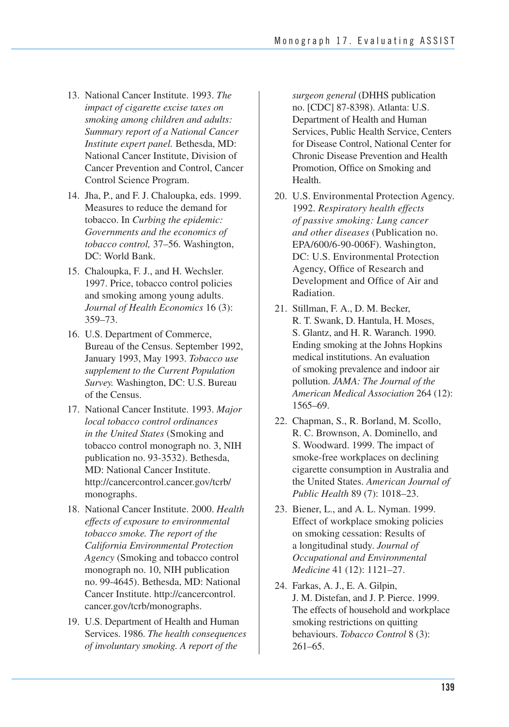- 13. National Cancer Institute. 1993. *The impact of cigarette excise taxes on smoking among children and adults: Summary report of a National Cancer Institute expert panel.* Bethesda, MD: National Cancer Institute, Division of Cancer Prevention and Control, Cancer Control Science Program.
- 14. Jha, P., and F. J. Chaloupka, eds. 1999. Measures to reduce the demand for tobacco. In *Curbing the epidemic: Governments and the economics of tobacco control,* 37–56. Washington, DC: World Bank.
- 15. Chaloupka, F. J., and H. Wechsler. 1997. Price, tobacco control policies and smoking among young adults. *Journal of Health Economics* 16 (3): 359–73.
- Bureau of the Census. September 1992, January 1993, May 1993. *Tobacco use supplement to the Current Population Survey.* Washington, DC: U.S. Bureau of the Census. 16. U.S. Department of Commerce,
- 17. National Cancer Institute. 1993. *Major local tobacco control ordinances in the United States* (Smoking and tobacco control monograph no. 3, NIH publication no. 93-3532). Bethesda, MD: National Cancer Institute. http://cancercontrol.cancer.gov/tcrb/ monographs.
- 18. National Cancer Institute. 2000. *Health effects of exposure to environmental tobacco smoke. The report of the California Environmental Protection Agency* (Smoking and tobacco control monograph no. 10, NIH publication no. 99-4645). Bethesda, MD: National Cancer Institute. http://cancercontrol. cancer.gov/tcrb/monographs.
- Services. 1986. *The health consequences of involuntary smoking. A report of the*  19. U.S. Department of Health and Human

 *surgeon general* (DHHS publication no. [CDC] 87-8398). Atlanta: U.S. Department of Health and Human Services, Public Health Service, Centers for Disease Control, National Center for Chronic Disease Prevention and Health Promotion, Office on Smoking and Health.

- 1992. *Respiratory health effects of passive smoking: Lung cancer and other diseases* (Publication no. DC: U.S. Environmental Protection Agency, Office of Research and Development and Office of Air and 20. U.S. Environmental Protection Agency. EPA/600/6-90-006F). Washington, Radiation.
- R. T. Swank, D. Hantula, H. Moses, S. Glantz, and H. R. Waranch. 1990. Ending smoking at the Johns Hopkins medical institutions. An evaluation of smoking prevalence and indoor air  pollution. *JAMA: The Journal of the American Medical Association* 264 (12): 21. Stillman, F. A., D. M. Becker, 1565–69.
- 22. Chapman, S., R. Borland, M. Scollo, R. C. Brownson, A. Dominello, and S. Woodward. 1999. The impact of smoke-free workplaces on declining cigarette consumption in Australia and the United States. *American Journal of Public Health* 89 (7): 1018–23.
- 23. Biener, L., and A. L. Nyman. 1999. Effect of workplace smoking policies on smoking cessation: Results of a longitudinal study. *Journal of Occupational and Environmental Medicine* 41 (12): 1121–27.
- J. M. Distefan, and J. P. Pierce. 1999. The effects of household and workplace smoking restrictions on quitting behaviours. *Tobacco Control* 8 (3): 24. Farkas, A. J., E. A. Gilpin, 261–65.